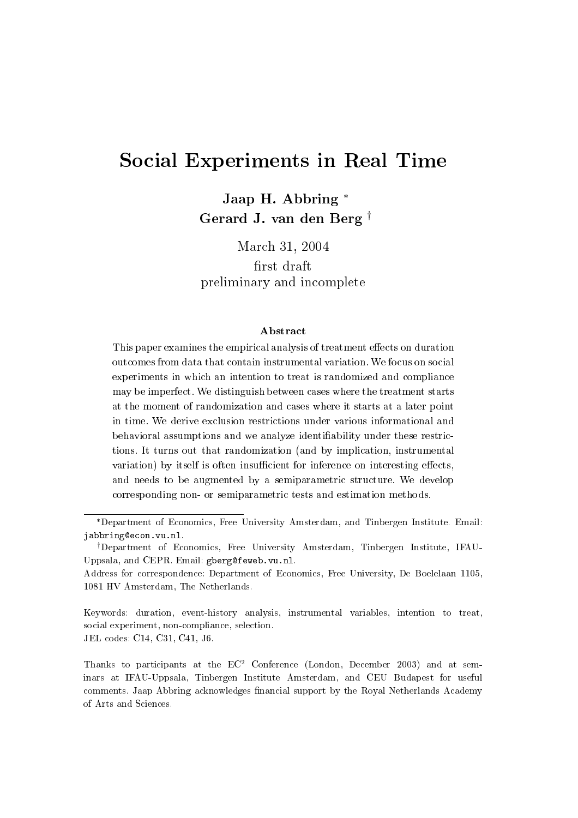# Social Experiments in Real Time

Jaap H. Abbring Gerard J. van den Berg<sup>†</sup>

March 31, 2004

first draft preliminary and incomplete

#### **A** bstract

This paper examines the empirical analysis of treatment effects on duration outcomes from data that contain instrumental variation. We focus on social experiments in which an intention to treat is randomized and compliance may be imperfect. We distinguish between cases where the treatment starts at the moment of randomization and cases where it starts at a later point in time. We derive exclusion restrictions under various informational and behavioral assumptions and we analyze identiability under these restrictions. It turns out that randomization (and by implication, instrumental variation) by itself is often insufficient for inference on interesting effects, and needs to be augmented by a semiparametric structure. We develop corresponding non- or semiparametric tests and estimation methods.

Keywords: duration, event-history analysis, instrumental variables, intention to treat, social experiment, non-compliance, selection. JEL codes: C14, C31, C41, J6.

Thanks to participants at the  $EC^2$  Conference (London, December 2003) and at seminars at IFAU-Uppsala, Tinbergen Institute Amsterdam, and CEU Budapest for useful comments. Jaap Abbring acknowledges nancial support by the Royal Netherlands Academy of Arts and Sciences.

Department of Economics, Free University Amsterdam, and Tinbergen Institute. Email: jabbring@econ.vu.nl.

<sup>&</sup>lt;sup>†</sup>Department of Economics, Free University Amsterdam, Tinbergen Institute, IFAU-Uppsala, and CEPR. Email: gberg@feweb.vu.nl.

Address for correspondence: Department of Economics, Free University, De Boelelaan 1105, 1081 HV Amsterdam, The Netherlands.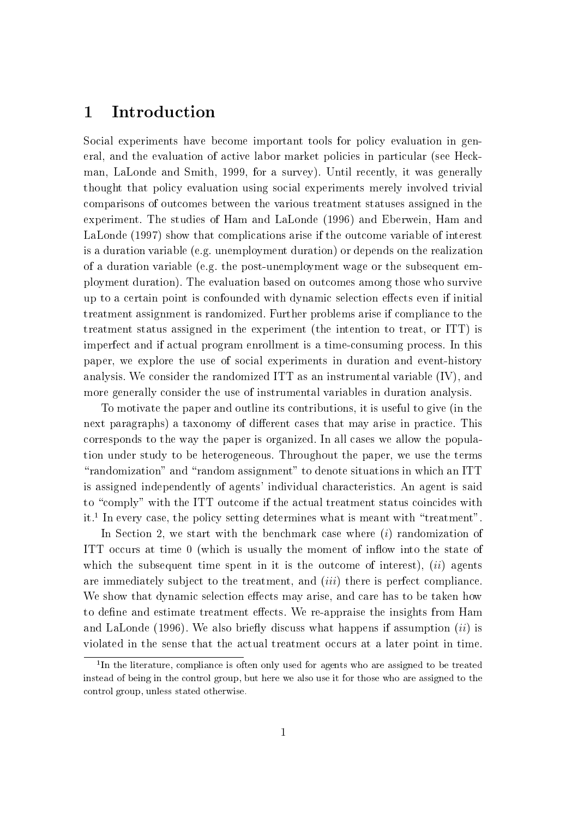#### $\mathbf 1$ **Introduction**

Social experiments have become important tools for policy evaluation in general, and the evaluation of active labor market policies in particular (see Heckman, LaLonde and Smith, 1999, for a survey). Until recently, it was generally thought that policy evaluation using social experiments merely involved trivial comparisons of outcomes between the various treatment statuses assigned in the experiment. The studies of Ham and LaLonde (1996) and Eberwein, Ham and LaLonde (1997) show that complications arise if the outcome variable of interest is a duration variable (e.g. unemployment duration) or depends on the realization of a duration variable (e.g. the post-unemployment wage or the subsequent employment duration). The evaluation based on outcomes among those who survive up to a certain point is confounded with dynamic selection effects even if initial treatment assignment is randomized. Further problems arise if compliance to the treatment status assigned in the experiment (the intention to treat, or ITT) is imperfect and if actual program enrollment is a time-consuming process. In this paper, we explore the use of social experiments in duration and event-history analysis. We consider the randomized ITT as an instrumental variable (IV), and more generally consider the use of instrumental variables in duration analysis.

To motivate the paper and outline its contributions, it is useful to give (in the next paragraphs) a taxonomy of different cases that may arise in practice. This corresponds to the way the paper is organized. In all cases we allow the population under study to be heterogeneous. Throughout the paper, we use the terms "randomization" and "random assignment" to denote situations in which an ITT is assigned independently of agents' individual characteristics. An agent is said to "comply" with the ITT outcome if the actual treatment status coincides with it.1 In every case, the policy setting determines what is meant with \treatment".

In Section 2, we start with the benchmark case where  $(i)$  randomization of ITT occurs at time 0 (which is usually the moment of inflow into the state of which the subsequent time spent in it is the outcome of interest),  $(ii)$  agents are immediately subject to the treatment, and  $(iii)$  there is perfect compliance. We show that dynamic selection effects may arise, and care has to be taken how to define and estimate treatment effects. We re-appraise the insights from Ham and LaLonde  $(1996)$ . We also briefly discuss what happens if assumption  $(ii)$  is violated in the sense that the actual treatment occurs at a later point in time.

<sup>1</sup> In the literature, compliance is often only used for agents who are assigned to be treated instead of being in the control group, but here we also use it for those who are assigned to the control group, unless stated otherwise.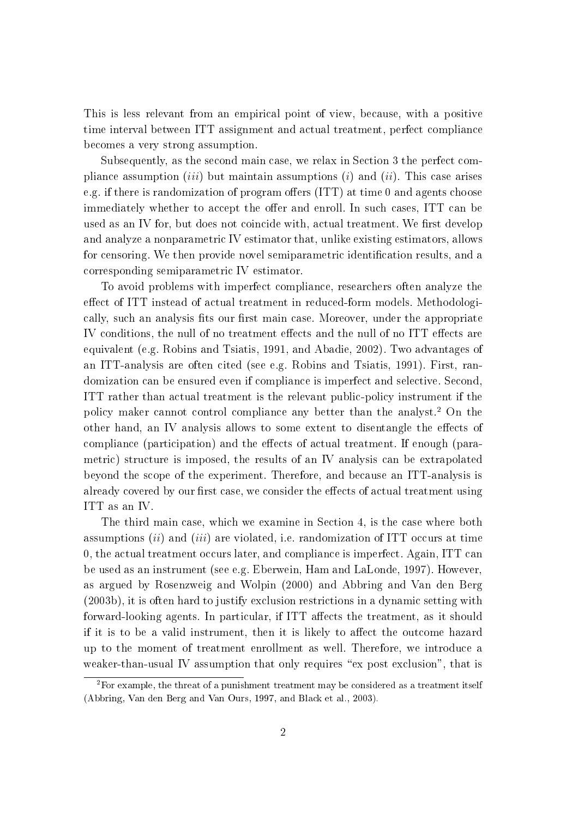This is less relevant from an empirical point of view, because, with a positive time interval between ITT assignment and actual treatment, perfect compliance becomes a very strong assumption.

Subsequently, as the second main case, we relax in Section 3 the perfect compliance assumption *(iii)* but maintain assumptions *(i)* and *(ii)*. This case arises e.g. if there is randomization of program offers  $(ITT)$  at time 0 and agents choose immediately whether to accept the offer and enroll. In such cases, ITT can be used as an IV for, but does not coincide with, actual treatment. We first develop and analyze a nonparametric IV estimator that, unlike existing estimators, allows for censoring. We then provide novel semiparametric identification results, and a corresponding semiparametric IV estimator.

To avoid problems with imperfect compliance, researchers often analyze the effect of ITT instead of actual treatment in reduced-form models. Methodologically, such an analysis fits our first main case. Moreover, under the appropriate IV conditions, the null of no treatment effects and the null of no ITT effects are equivalent (e.g. Robins and Tsiatis, 1991, and Abadie, 2002). Two advantages of an ITT-analysis are often cited (see e.g. Robins and Tsiatis, 1991). First, randomization can be ensured even if compliance is imperfect and selective. Second, ITT rather than actual treatment is the relevant public-policy instrument if the policy maker cannot control compliance any better than the analyst.2 On the other hand, an IV analysis allows to some extent to disentangle the effects of compliance (participation) and the effects of actual treatment. If enough (parametric) structure is imposed, the results of an IV analysis can be extrapolated beyond the scope of the experiment. Therefore, and because an ITT-analysis is already covered by our first case, we consider the effects of actual treatment using ITT as an IV.

The third main case, which we examine in Section 4, is the case where both assumptions  $(ii)$  and  $(iii)$  are violated, i.e. randomization of ITT occurs at time 0, the actual treatment occurs later, and compliance is imperfect. Again, ITT can be used as an instrument (see e.g. Eberwein, Ham and LaLonde, 1997). However, as argued by Rosenzweig and Wolpin (2000) and Abbring and Van den Berg (2003b), it is often hard to justify exclusion restrictions in a dynamic setting with forward-looking agents. In particular, if ITT affects the treatment, as it should if it is to be a valid instrument, then it is likely to affect the outcome hazard up to the moment of treatment enrollment as well. Therefore, we introduce a weaker-than-usual IV assumption that only requires " $ex$  post exclusion", that is

 ${}^{2}$ For example, the threat of a punishment treatment may be considered as a treatment itself (Abbring, Van den Berg and Van Ours, 1997, and Black et al., 2003).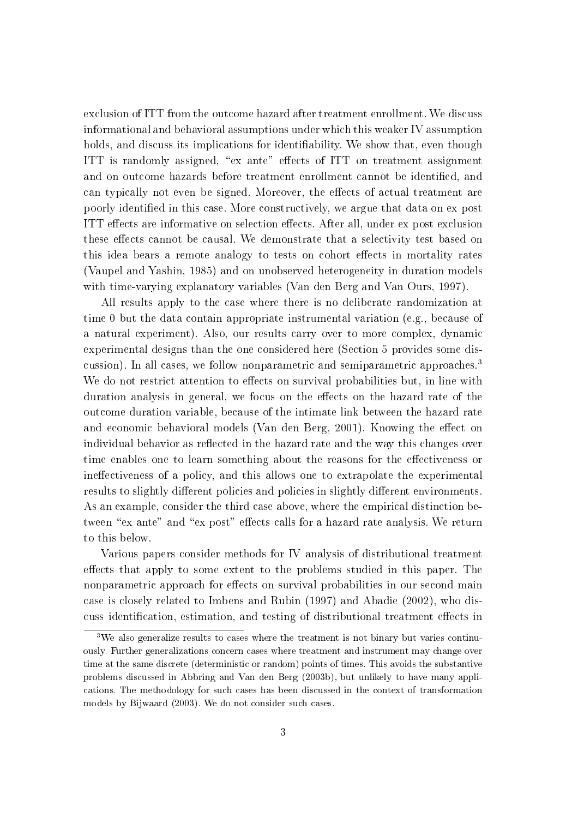exclusion of ITT from the outcome hazard after treatment enrollment. We discuss informational and behavioral assumptions under which this weaker IV assumption holds, and discuss its implications for identifiability. We show that, even though ITT is randomly assigned, "ex ante" effects of ITT on treatment assignment and on outcome hazards before treatment enrollment cannot be identied, and can typically not even be signed. Moreover, the effects of actual treatment are poorly identied in this case. More constructively, we argue that data on ex post ITT effects are informative on selection effects. After all, under ex post exclusion these effects cannot be causal. We demonstrate that a selectivity test based on this idea bears a remote analogy to tests on cohort effects in mortality rates (Vaupel and Yashin, 1985) and on unobserved heterogeneity in duration models with time-varying explanatory variables (Van den Berg and Van Ours, 1997).

All results apply to the case where there is no deliberate randomization at time 0 but the data contain appropriate instrumental variation (e.g., because of a natural experiment). Also, our results carry over to more complex, dynamic experimental designs than the one considered here (Section 5 provides some discussion). In all cases, we follow nonparametric and semiparametric approaches.<sup>3</sup> We do not restrict attention to effects on survival probabilities but, in line with duration analysis in general, we focus on the effects on the hazard rate of the outcome duration variable, because of the intimate link between the hazard rate and economic behavioral models (Van den Berg, 2001). Knowing the effect on individual behavior as reflected in the hazard rate and the way this changes over time enables one to learn something about the reasons for the effectiveness or ineffectiveness of a policy, and this allows one to extrapolate the experimental results to slightly different policies and policies in slightly different environments. As an example, consider the third case above, where the empirical distinction between "ex ante" and "ex post" effects calls for a hazard rate analysis. We return to this below.

Various papers consider methods for IV analysis of distributional treatment effects that apply to some extent to the problems studied in this paper. The nonparametric approach for effects on survival probabilities in our second main case is closely related to Imbens and Rubin (1997) and Abadie (2002), who discuss identification, estimation, and testing of distributional treatment effects in

<sup>&</sup>lt;sup>3</sup>We also generalize results to cases where the treatment is not binary but varies continuously. Further generalizations concern cases where treatment and instrument may change over time at the same discrete (deterministic or random) points of times. This avoids the substantive problems discussed in Abbring and Van den Berg (2003b), but unlikely to have many applications. The methodology for such cases has been discussed in the context of transformation models by Bijwaard (2003). We do not consider such cases.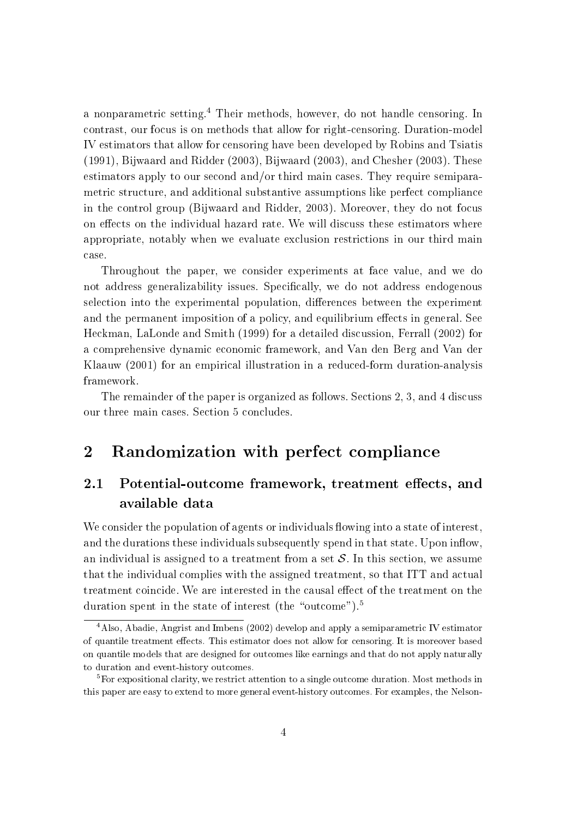<sup>a</sup> nonparametric setting.<sup>4</sup> Their methods, however, do not handle censoring. In contrast, our focus is on methods that allow for right-censoring. Duration-model IV estimators that allow for censoring have been developed by Robins and Tsiatis (1991), Bijwaard and Ridder (2003), Bijwaard (2003), and Chesher (2003). These estimators apply to our second and/or third main cases. They require semiparametric structure, and additional substantive assumptions like perfect compliance in the control group (Bijwaard and Ridder, 2003). Moreover, they do not focus on effects on the individual hazard rate. We will discuss these estimators where appropriate, notably when we evaluate exclusion restrictions in our third main case.

Throughout the paper, we consider experiments at face value, and we do not address generalizability issues. Specifically, we do not address endogenous selection into the experimental population, differences between the experiment and the permanent imposition of a policy, and equilibrium effects in general. See Heckman, LaLonde and Smith (1999) for a detailed discussion, Ferrall (2002) for a comprehensive dynamic economic framework, and Van den Berg and Van der Klaauw (2001) for an empirical illustration in a reduced-form duration-analysis framework.

The remainder of the paper is organized as follows. Sections 2, 3, and 4 discuss our three main cases. Section 5 concludes.

# 2 Randomization with perfect compliance

#### $2.1$ Potential-outcome framework, treatment effects, and available data

We consider the population of agents or individuals flowing into a state of interest, and the durations these individuals subsequently spend in that state. Upon inflow, an individual is assigned to a treatment from a set  $S$ . In this section, we assume that the individual complies with the assigned treatment, so that ITT and actual treatment coincide. We are interested in the causal effect of the treatment on the duration spent in the state of interest (the "outcome").<sup>5</sup>

<sup>4</sup>Also, Abadie, Angrist and Imbens (2002) develop and apply a semiparametric IV estimator of quantile treatment effects. This estimator does not allow for censoring. It is moreover based on quantile models that are designed for outcomes like earnings and that do not apply naturally to duration and event-history outcomes.

<sup>&</sup>lt;sup>5</sup>For expositional clarity, we restrict attention to a single outcome duration. Most methods in this paper are easy to extend to more general event-history outcomes. For examples, the Nelson-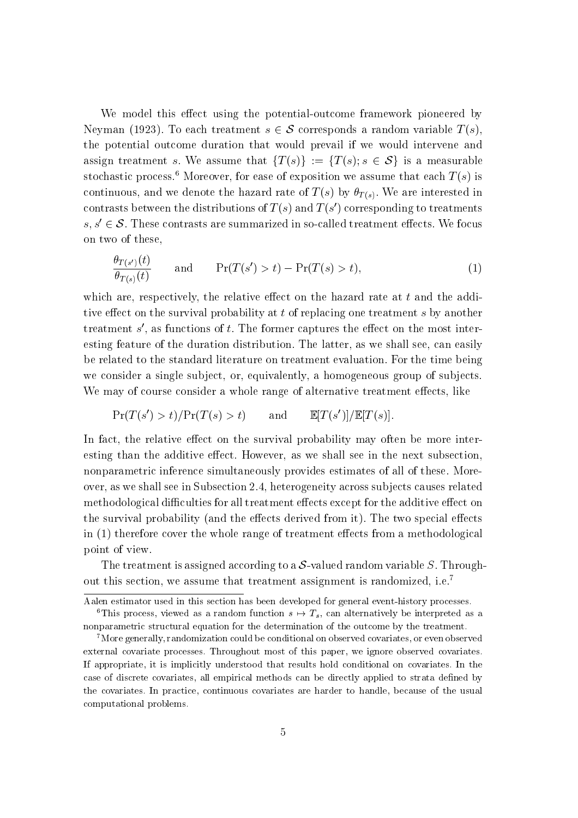We model this effect using the potential-outcome framework pioneered by Neyman (1923). To each treatment  $s \in \mathcal{S}$  corresponds a random variable  $T(s)$ , the potential outcome duration that would prevail if we would intervene and assign treatment s. We assume that  $\{T(s)\} := \{T(s); s \in S\}$  is a measurable stochastic process.<sup>6</sup> Moreover, for ease of exposition we assume that each  $T(s)$  is continuous, and we denote the hazard rate of  $T(s)$  by  $\theta_{T(s)}$ . We are interested in contrasts between the distributions of  $T(s)$  and  $T(s)$  corresponding to treatments  $s, s' \in \mathcal{S}$ . These contrasts are summarized in so-called treatment effects. We focus on two of these,

$$
\frac{\theta_{T(s')}(t)}{\theta_{T(s)}(t)} \quad \text{and} \quad \Pr(T(s') > t) - \Pr(T(s) > t), \tag{1}
$$

which are, respectively, the relative effect on the hazard rate at  $t$  and the additive effect on the survival probability at  $t$  of replacing one treatment  $s$  by another treatment  $s$  , as functions of  $t$ . The former captures the effect on the most interesting feature of the duration distribution. The latter, as we shall see, can easily be related to the standard literature on treatment evaluation. For the time being we consider a single subject, or, equivalently, a homogeneous group of subjects. We may of course consider a whole range of alternative treatment effects, like

$$
Pr(T(s') > t) / Pr(T(s) > t) \qquad \text{and} \qquad \mathbb{E}[T(s')] / \mathbb{E}[T(s)].
$$

In fact, the relative effect on the survival probability may often be more interesting than the additive effect. However, as we shall see in the next subsection, nonparametric inference simultaneously provides estimates of all of these. Moreover, as we shall see in Subsection 2.4, heterogeneity across sub jects causes related methodological difficulties for all treatment effects except for the additive effect on the survival probability (and the effects derived from it). The two special effects in  $(1)$  therefore cover the whole range of treatment effects from a methodological point of view.

The treatment is assigned according to a  $S$ -valued random variable S. Throughout this section, we assume that treatment assignment is randomized, i.e.<sup>7</sup>

Aalen estimator used in this section has been developed for general event-history processes. <sup>6</sup>This process, viewed as a random function  $s \mapsto T_s$ , can alternatively be interpreted as a nonparametric structural equation for the determination of the outcome by the treatment.

<sup>7</sup>More generally, randomization could be conditional on observed covariates, or even observed external covariate processes. Throughout most of this paper, we ignore observed covariates. If appropriate, it is implicitly understood that results hold conditional on covariates. In the case of discrete covariates, all empirical methods can be directly applied to strata dened by the covariates. In practice, continuous covariates are harder to handle, because of the usual computational problems.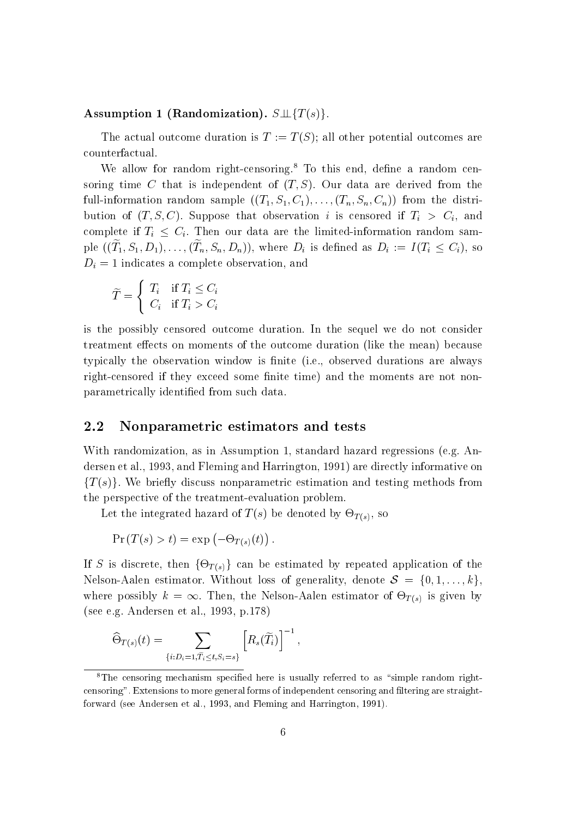#### Assumption 1 (Randomization).  $S \perp \{T(s)\}.$

The actual outcome duration is  $T := T(S)$ ; all other potential outcomes are counterfactual.

We allow for random right-censoring.<sup>8</sup> To this end, define a random censoring time C that is independent of  $(T, S)$ . Our data are derived from the full-information random sample  $((T_1, S_1, C_1), \ldots, (T_n, S_n, C_n))$  from the distribution of  $(T, S, C)$ . Suppose that observation i is censored if  $T_i > C_i$ , and complete if  $T_i \leq C_i$ . Then our data are the limited-information random sample  $((1_1, D_1, D_1), \ldots, (T_n, D_n, D_n))$ , where  $D_i$  is defined as  $D_i$   $\ldots$   $(T_i \leq C_i)$ , so  $D_i = 1$  indicates a complete observation, and

$$
\widetilde{T} = \begin{cases} T_i & \text{if } T_i \le C_i \\ C_i & \text{if } T_i > C_i \end{cases}
$$

is the possibly censored outcome duration. In the sequel we do not consider treatment effects on moments of the outcome duration (like the mean) because typically the observation window is finite (i.e., observed durations are always right-censored if they exceed some finite time) and the moments are not nonparametrically identied from such data.

#### 2.2 Nonparametric estimators and tests

With randomization, as in Assumption 1, standard hazard regressions (e.g. Andersen et al., 1993, and Fleming and Harrington, 1991) are directly informative on  ${T(s)}$ . We briefly discuss nonparametric estimation and testing methods from the perspective of the treatment-evaluation problem.

Let the integrated hazard of the  $\mathcal{L}$  be denoted by  $\mathcal{L}$  , so  $\mathcal{L}$ 

$$
Pr(T(s) > t) = exp(-\Theta_{T(s)}(t)).
$$

If S is discrete, the estimated by  $\Gamma$  (s) g can be estimated by repeated by repeated as the estimated application of the estimated by  $\Gamma$ Nelson-Aalen estimator. Without loss of generality, denote  $S = \{0, 1, \ldots, k\}$ , where possibly kn = 1. Then, the Nelson-Aalen estimator of the Nelson-Aalen given given by an interval (see e.g. Andersen et al., 1993, p.178)

$$
\widehat{\Theta}_{T(s)}(t) = \sum_{\{i:D_i=1,\widetilde{T}_i\leq t,S_i=s\}} \left[ R_s(\widetilde{T}_i) \right]^{-1},
$$

 ${}^{8}$ The censoring mechanism specified here is usually referred to as "simple random rightcensoring". Extensions to more general forms of independent censoring and ltering are straightforward (see Andersen et al., 1993, and Fleming and Harrington, 1991).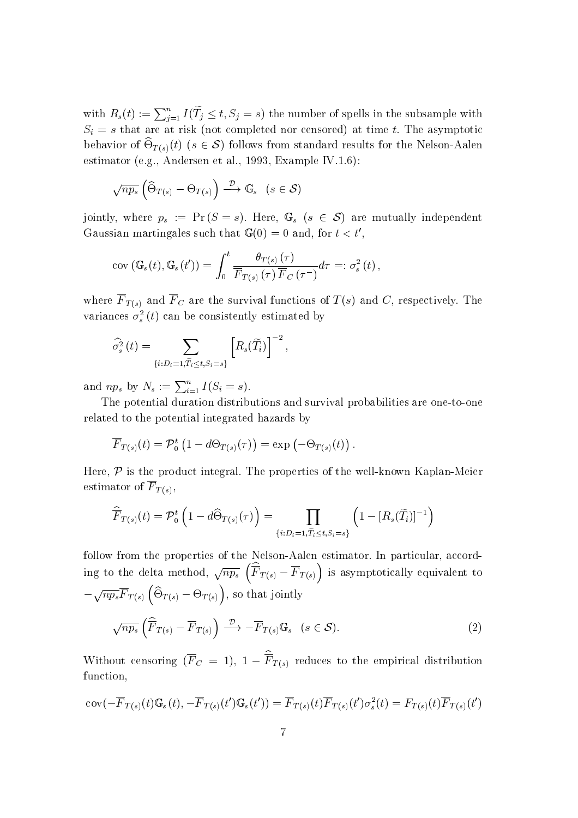with  $R_s(t) := \sum_{i=1}^n I(T_i \leq t, S_i = s)$  the number of spells in the subsample with  $S_i = s$  that are at risk (not completed nor censored) at time t. The asymptotic behavior of  $\cup_{T(s)}(v)$  (s  $\in \mathcal{O}$ ) follows from standard results for the Nelson-Aalen estimator (e.g., Andersen et al., 1993, Example IV.1.6):

$$
\sqrt{np_s} \left( \widehat{\Theta}_{T(s)} - \Theta_{T(s)} \right) \xrightarrow{\mathcal{D}} \mathbb{G}_s \quad (s \in \mathcal{S})
$$

jointly, where  $p_s := \Pr(S = s)$ . Here,  $\mathbb{G}_s$   $(s \in \mathcal{S})$  are mutually independent Gaussian martingales such that  $\mathbb{G}(0) = 0$  and, for  $t < t'$ ,

$$
cov\left(\mathbb{G}_{s}\left(t\right),\mathbb{G}_{s}\left(t^{\prime}\right)\right)=\int_{0}^{t}\frac{\theta_{T\left(s\right)}\left(\tau\right)}{\overline{F}_{T\left(s\right)}\left(\tau\right)\overline{F}_{C}\left(\tau^{-}\right)}d\tau=:\sigma_{s}^{2}\left(t\right),\,
$$

where F  $\sim$  and F C are the survival functions of T (s) and C, respectively. The survival functions of T (s) and C, respectively. The survival functions of T (s) and C (s) and C (s) and C (s) and C (s) and C (s) and C (s variances  $\sigma_s^2(t)$  can be consistently estimated by

$$
\widehat{\sigma}_s^2(t) = \sum_{\{i:D_i=1,\widetilde{T}_i\leq t,S_i=s\}} \left[R_s(\widetilde{T}_i)\right]^{-2},
$$

and  $np_s$  by  $N_s := \sum_{i=1}^n I(S_i = s)$ .

The potential duration distributions and survival probabilities are one-to-one related to the potential integrated hazards by

$$
\overline{F}_{T(s)}(t) = \mathcal{P}_0^t \left(1 - d\Theta_{T(s)}(\tau)\right) = \exp\left(-\Theta_{T(s)}(t)\right).
$$

Here,  $P$  is the product integral. The properties of the well-known Kaplan-Meier  $\mathbf{F}$  to  $\mathbf{F}$ 

$$
\widehat{\overline{F}}_{T(s)}(t) = \mathcal{P}_0^t \left( 1 - d \widehat{\Theta}_{T(s)}(\tau) \right) = \prod_{\{i:D_i = 1, \widetilde{T_i} \le t, S_i = s\}} \left( 1 - [R_s(\widetilde{T}_i)]^{-1} \right)
$$

follow from the properties of the Nelson-Aalen estimator. In particular, according to the delta method,  $\sqrt{np_s}$   $(\overline{\hat{F}}_{T(s)} - \overline{F}_{T(s)})$  is asymptotically equivalent to  $-\sqrt{np_s}\overline{F}_{T(s)}(\widehat{\Theta}_{T(s)}-\Theta_{T(s)})$ , so that jointly

$$
\sqrt{np_s} \left( \widehat{\overline{F}}_{T(s)} - \overline{F}_{T(s)} \right) \xrightarrow{\mathcal{D}} - \overline{F}_{T(s)} \mathbb{G}_s \quad (s \in \mathcal{S}). \tag{2}
$$

Without censoring  $(F_C = 1)$ ,  $1 - F_{T(s)}$  reduces to the empirical distribution function,

$$
cov(-\overline{F}_{T(s)}(t)\mathbb{G}_{s}(t), -\overline{F}_{T(s)}(t')\mathbb{G}_{s}(t')) = \overline{F}_{T(s)}(t)\overline{F}_{T(s)}(t')\sigma_{s}^{2}(t) = F_{T(s)}(t)\overline{F}_{T(s)}(t')
$$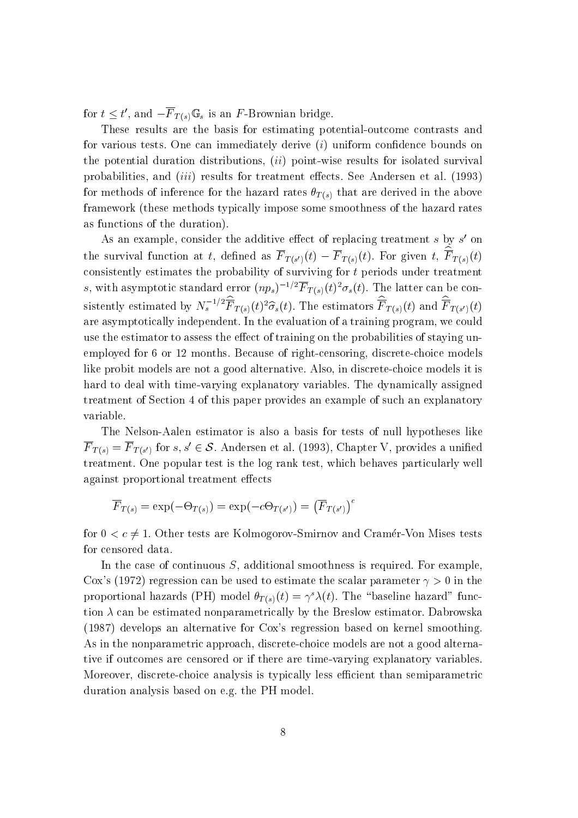for  $t \leq t$ , and  $-r$   $T(s)$   $\mathbb{G}_s$  is an F-Drowman bridge.

These results are the basis for estimating potential-outcome contrasts and for various tests. One can immediately derive  $(i)$  uniform confidence bounds on the potential duration distributions,  $(ii)$  point-wise results for isolated survival probabilities, and  $(iii)$  results for treatment effects. See Andersen et al. (1993) for methods of inference for the hazard rates  $\theta_{T(s)}$  that are derived in the above framework (these methods typically impose some smoothness of the hazard rates as functions of the duration).

As an example, consider the additive effect of replacing treatment  $s$  by  $s$  on the survival function at t, defined as  $F_{T(s')}(t) - F_{T(s)}(t)$ . For given t,  $F_{T(s)}(t)$ consistently estimates the probability of surviving for <sup>t</sup> periods under treatment s, with asymptotic standard error  $(np_s)^{-1}$   $^{-1}$   $T_{T(s)}(t)^{-0}{}_s(t)$ . The latter can be consistently estimated by  $N_s$   $F_{T(s)}(t)^2 \sigma_s(t)$ . The estimators  $F_{T(s)}(t)$  and  $F_{T(s')}(t)$ are asymptotically independent. In the evaluation of a training program, we could use the estimator to assess the effect of training on the probabilities of staying unemployed for 6 or 12 months. Because of right-censoring, discrete-choice models like probit models are not a good alternative. Also, in discrete-choice models it is hard to deal with time-varying explanatory variables. The dynamically assigned treatment of Section 4 of this paper provides an example of such an explanatory variable.

The Nelson-Aalen estimator is also a basis for tests of null hypotheses like  $F|_{T(s)} = F|_{T(s')}$  for  $s, s \in \mathcal{S}$ . Andersen et al. (1995), Chapter V, provides a unified treatment. One popular test is the log rank test, which behaves particularly well against proportional treatment effects

$$
\overline{F}_{T(s)} = \exp(-\Theta_{T(s)}) = \exp(-c\Theta_{T(s')}) = (\overline{F}_{T(s')})^c
$$

for  $0 < c \neq 1$ . Other tests are Kolmogorov-Smirnov and Cramér-Von Mises tests for censored data.

In the case of continuous  $S$ , additional smoothness is required. For example, Cox's (1972) regression can be used to estimate the scalar parameter  $\gamma > 0$  in the proportional hazards (PH) model  $\theta_{T(s)}(t) = \gamma^{s} \lambda(t)$ . The "baseline hazard" function  $\lambda$  can be estimated nonparametrically by the Breslow estimator. Dabrowska (1987) develops an alternative for Cox's regression based on kernel smoothing. As in the nonparametric approach, discrete-choice models are not a good alternative if outcomes are censored or if there are time-varying explanatory variables. Moreover, discrete-choice analysis is typically less efficient than semiparametric duration analysis based on e.g. the PH model.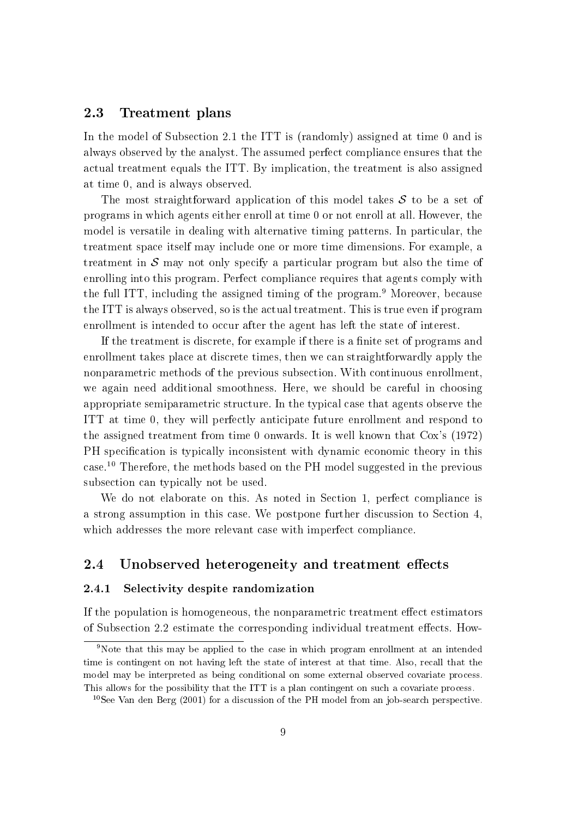#### 2.3 Treatment plans

In the model of Subsection 2.1 the ITT is (randomly) assigned at time 0 and is always observed by the analyst. The assumed perfect compliance ensures that the actual treatment equals the ITT. By implication, the treatment is also assigned at time 0, and is always observed.

The most straightforward application of this model takes  $S$  to be a set of programs in which agents either enroll at time 0 or not enroll at all. However, the model is versatile in dealing with alternative timing patterns. In particular, the treatment space itself may include one or more time dimensions. For example, a treatment in  $\mathcal S$  may not only specify a particular program but also the time of enrolling into this program. Perfect compliance requires that agents comply with the full ITT, including the assigned timing of the program.<sup>9</sup> Moreover, because the ITT is always observed, so is the actual treatment. This is true even if program enrollment is intended to occur after the agent has left the state of interest.

If the treatment is discrete, for example if there is a finite set of programs and enrollment takes place at discrete times, then we can straightforwardly apply the nonparametric methods of the previous subsection. With continuous enrollment, we again need additional smoothness. Here, we should be careful in choosing appropriate semiparametric structure. In the typical case that agents observe the ITT at time 0, they will perfectly anticipate future enrollment and respond to the assigned treatment from time 0 onwards. It is well known that Cox's (1972) PH specification is typically inconsistent with dynamic economic theory in this case.10 Therefore, the methods based on the PH model suggested in the previous subsection can typically not be used.

We do not elaborate on this. As noted in Section 1, perfect compliance is a strong assumption in this case. We postpone further discussion to Section 4, which addresses the more relevant case with imperfect compliance.

#### 2.4 Unobserved heterogeneity and treatment effects

#### 2.4.1 Selectivity despite randomization

If the population is homogeneous, the nonparametric treatment effect estimators of Subsection 2.2 estimate the corresponding individual treatment effects. How-

<sup>9</sup>Note that this may be applied to the case in which program enrollment at an intended time is contingent on not having left the state of interest at that time. Also, recall that the model may be interpreted as being conditional on some external observed covariate process. This allows for the possibility that the ITT is a plan contingent on such a covariate process.

<sup>&</sup>lt;sup>10</sup>See Van den Berg (2001) for a discussion of the PH model from an job-search perspective.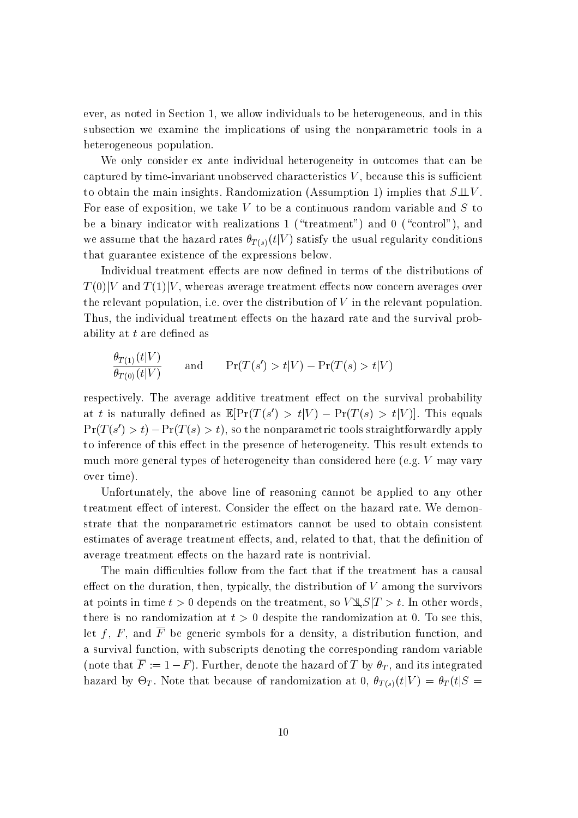ever, as noted in Section 1, we allow individuals to be heterogeneous, and in this subsection we examine the implications of using the nonparametric tools in a heterogeneous population.

We only consider ex ante individual heterogeneity in outcomes that can be captured by time-invariant unobserved characteristics  $V$ , because this is sufficient to obtain the main insights. Randomization (Assumption 1) implies that  $S\perp V$ . For ease of exposition, we take  $V$  to be a continuous random variable and  $S$  to be a binary indicator with realizations 1 ("treatment") and 0 ("control"), and we assume that the hazard rates  $\theta_{T(s)}(t|V)$  satisfy the usual regularity conditions that guarantee existence of the expressions below.

Individual treatment effects are now defined in terms of the distributions of  $T(0)|V$  and  $T(1)|V$ , whereas average treatment effects now concern averages over the relevant population, i.e. over the distribution of  $V$  in the relevant population. Thus, the individual treatment effects on the hazard rate and the survival probability at  $t$  are defined as

$$
\frac{\theta_{T(1)}(t|V)}{\theta_{T(0)}(t|V)} \quad \text{and} \quad \Pr(T(s') > t|V) - \Pr(T(s) > t|V)
$$

respectively. The average additive treatment effect on the survival probability at t is naturally defined as  $\mathbb{E}[ \Gamma(T(S) > t | V) = \Gamma(T(S) > t | V)]$ . This equals  $\Gamma\Gamma(T\mid S) \geq t$ )  $\Gamma\Gamma(T\mid S) \geq t$ ), so the nonparametric tools straightforwardly apply to inference of this effect in the presence of heterogeneity. This result extends to much more general types of heterogeneity than considered here (e.g. <sup>V</sup> may vary over time).

Unfortunately, the above line of reasoning cannot be applied to any other treatment effect of interest. Consider the effect on the hazard rate. We demonstrate that the nonparametric estimators cannot be used to obtain consistent estimates of average treatment effects, and, related to that, that the definition of average treatment effects on the hazard rate is nontrivial.

The main difficulties follow from the fact that if the treatment has a causal effect on the duration, then, typically, the distribution of  $V$  among the survivors at points in time  $t > 0$  depends on the treatment, so  $V \& S | T > t$ . In other words, there is no randomization at  $t > 0$  despite the randomization at 0. To see this. let f, F, and  $\overline{F}$  be generic symbols for a density, a distribution function, and a survival function, with subscripts denoting the corresponding random variable (note that  $\overline{F} := 1 - F$ ). Further, denote the hazard of T by  $\theta_T$ , and its integrated has because of  $\mathcal{N}$  . The cause of randomization at 0, T (s) that  $\mathcal{N}$  is the  $\mathcal{N}$  is the set of  $\mathcal{N}$  is the set of  $\mathcal{N}$  is the set of  $\mathcal{N}$  is the set of  $\mathcal{N}$  is the set of  $\mathcal{N}$  is the set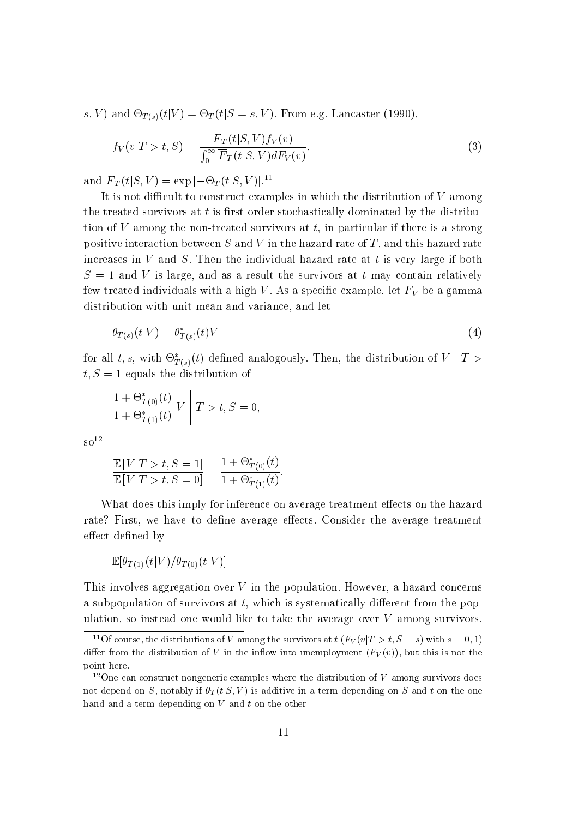$\mathcal{S}$ )  $\mathcal{S}$  ) and  $\mathcal{S}$  (s)(tig)  $\mathcal{S}$  ,  $\mathcal{S}$  ,  $\mathcal{S}$  ),  $\mathcal{S}$  ,  $\mathcal{S}$  ,  $\mathcal{S}$  ,  $\mathcal{S}$  ,  $\mathcal{S}$  ,  $\mathcal{S}$  ,  $\mathcal{S}$  ,  $\mathcal{S}$  ,  $\mathcal{S}$  ,  $\mathcal{S}$  ,  $\mathcal{S}$  ,  $\mathcal{S}$  ,  $\mathcal{S}$  ,

$$
f_V(v|T > t, S) = \frac{\overline{F}_T(t|S, V)f_V(v)}{\int_0^\infty \overline{F}_T(t|S, V)dF_V(v)},
$$
\n(3)

and  $\Gamma_T(U|S, V) \equiv \exp(-\Theta_T(U|S, V)).$ 

It is not difficult to construct examples in which the distribution of  $V$  among the treated survivors at  $t$  is first-order stochastically dominated by the distribution of  $V$  among the non-treated survivors at  $t$ , in particular if there is a strong positive interaction between  $S$  and  $V$  in the hazard rate of  $T$ , and this hazard rate increases in  $V$  and  $S$ . Then the individual hazard rate at  $t$  is very large if both  $S = 1$  and V is large, and as a result the survivors at t may contain relatively few treated individuals with a high V. As a specific example, let  $F_V$  be a gamma distribution with unit mean and variance, and let

$$
\theta_{T(s)}(t|V) = \theta_{T(s)}^*(t)V\tag{4}
$$

for an  $t, s$ , with  $\mathcal{O}_{T(s)}(t)$  defined analogously. Then, the distribution of  $V+I \geq$  $t, S = 1$  equals the distribution of

$$
\frac{1 + \Theta_{T(0)}^{*}(t)}{1 + \Theta_{T(1)}^{*}(t)} V \mid T > t, S = 0,
$$

 $\mathrm{so}^{12}$ 

$$
\frac{\mathbb{E}[V|T > t, S = 1]}{\mathbb{E}[V|T > t, S = 0]} = \frac{1 + \Theta_{T(0)}^*(t)}{1 + \Theta_{T(1)}^*(t)}.
$$

What does this imply for inference on average treatment effects on the hazard rate? First, we have to define average effects. Consider the average treatment effect defined by

$$
\mathbb{E}[\theta_{T(1)}(t|V)/\theta_{T(0)}(t|V)]
$$

This involves aggregation over  $V$  in the population. However, a hazard concerns a subpopulation of survivors at  $t$ , which is systematically different from the population, so instead one would like to take the average over  $V$  among survivors.

<sup>&</sup>lt;sup>11</sup>Of course, the distributions of V among the survivors at  $t$  ( $F_V(v|T > t, S = s)$ ) with  $s = 0, 1$ ) differ from the distribution of V in the inflow into unemployment  $(F_V(v))$ , but this is not the point here.

<sup>&</sup>lt;sup>12</sup>One can construct nongeneric examples where the distribution of V among survivors does not depend on S, notably if  $\theta_T(t|S, V)$  is additive in a term depending on S and t on the one hand and a term depending on  $V$  and  $t$  on the other.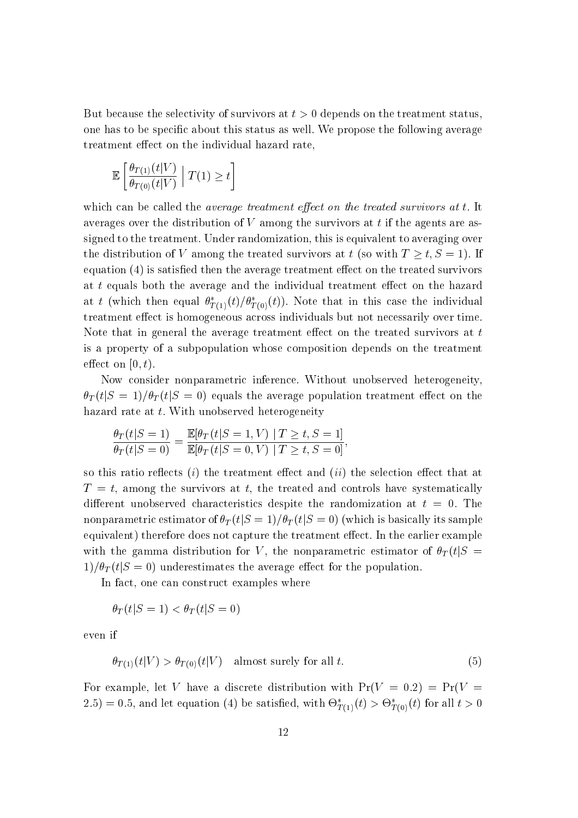But because the selectivity of survivors at  $t > 0$  depends on the treatment status. one has to be specic about this status as well. We propose the following average treatment effect on the individual hazard rate,

$$
\mathbb{E}\left[\frac{\theta_{T(1)}(t|V)}{\theta_{T(0)}(t|V)}\middle|T(1)\geq t\right]
$$

which can be called the *average treatment effect on the treated survivors at t.* It averages over the distribution of  $V$  among the survivors at  $t$  if the agents are assigned to the treatment. Under randomization, this is equivalent to averaging over the distribution of V among the treated survivors at t (so with  $T \geq t, S = 1$ ). If equation  $(4)$  is satisfied then the average treatment effect on the treated survivors at t equals both the average and the individual treatment effect on the hazard at t (which then equal  $\sigma_{T(1)}(\iota)/\sigma_{T(0)}(\iota)$ ). Note that in this case the individual treatment effect is homogeneous across individuals but not necessarily over time. Note that in general the average treatment effect on the treated survivors at  $t$ is a property of a subpopulation whose composition depends on the treatment effect on  $[0, t)$ .

Now consider nonparametric inference. Without unobserved heterogeneity,  $\theta_T (t|S=1)/\theta_T (t|S=0)$  equals the average population treatment effect on the hazard rate at t. With unobserved heterogeneity

$$
\frac{\theta_T(t|S=1)}{\theta_T(t|S=0)} = \frac{\mathbb{E}[\theta_T(t|S=1, V) | T \ge t, S=1]}{\mathbb{E}[\theta_T(t|S=0, V) | T \ge t, S=0]},
$$

so this ratio reflects (i) the treatment effect and (ii) the selection effect that at  $T = t$ , among the survivors at t, the treated and controls have systematically different unobserved characteristics despite the randomization at  $t = 0$ . The nonparametric estimator of  $\theta_T (t|S=1)/\theta_T (t|S=0)$  (which is basically its sample equivalent) therefore does not capture the treatment effect. In the earlier example with the gamma distribution for V, the nonparametric estimator of  $\theta_T(t|S =$  $1)/\theta_T (t|S=0)$  underestimates the average effect for the population.

In fact, one can construct examples where

$$
\theta_T(t|S=1) < \theta_T(t|S=0)
$$

even if

$$
\theta_{T(1)}(t|V) > \theta_{T(0)}(t|V) \quad \text{almost surely for all } t. \tag{5}
$$

For example, let V have a discrete distribution with  $Pr(V = 0.2) = Pr(V = 1)$ 2.5) = 0.5, and let equation (4) be satisfied, with  $\mathcal{O}_{T(1)}(t) > \mathcal{O}_{T(0)}(t)$  for all  $t > 0$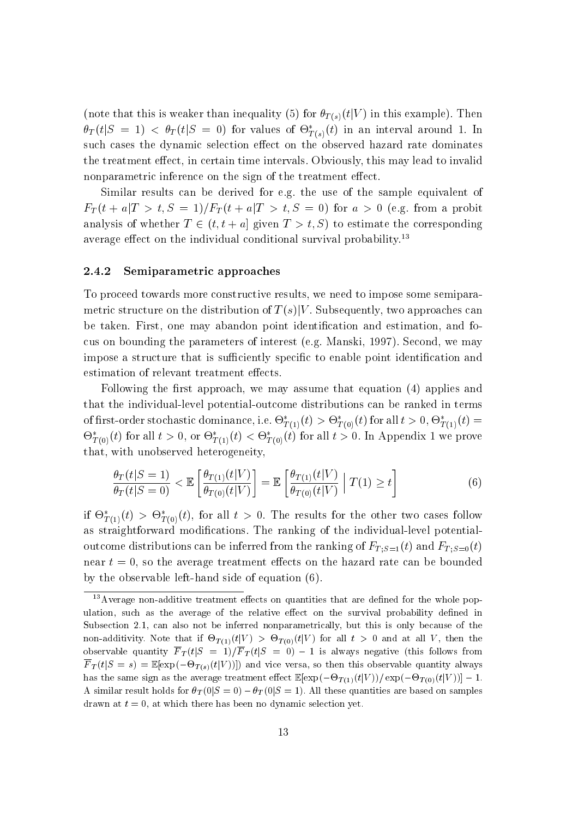(note that this is weaker than inequality (5) for  $\theta_{T(s)}(t|V)$  in this example). Then  $\sigma_T(\iota|\mathcal{S}=1) < \sigma_T(\iota|\mathcal{S}=0)$  for values of  $\Theta_{T(s)}(\iota)$  in an interval around 1. In such cases the dynamic selection effect on the observed hazard rate dominates the treatment effect, in certain time intervals. Obviously, this may lead to invalid nonparametric inference on the sign of the treatment effect.

Similar results can be derived for e.g. the use of the sample equivalent of  $F_T(t + a|T > t, S = 1)/F_T(t + a|T > t, S = 0)$  for  $a > 0$  (e.g. from a probit analysis of whether  $T \in (t, t + a]$  given  $T > t$ , S) to estimate the corresponding average effect on the individual conditional survival probability.<sup>13</sup>

#### 2.4.2 Semiparametric approaches

To proceed towards more constructive results, we need to impose some semiparametric structure on the distribution of  $T(s)|V$ . Subsequently, two approaches can be taken. First, one may abandon point identication and estimation, and focus on bounding the parameters of interest (e.g. Manski, 1997). Second, we may impose a structure that is sufficiently specific to enable point identification and estimation of relevant treatment effects.

Following the first approach, we may assume that equation  $(4)$  applies and that the individual-level potential-outcome distributions can be ranked in terms of hist-order stochastic dominance, i.e.  $\Theta_{T(1)}(\iota) > \Theta_{T(0)}(\iota)$  for all  $\iota > 0, \Theta_{T(1)}(\iota) =$  $\sigma_{T(0)}(t)$  for all  $t > 0$ , or  $\sigma_{T(1)}(t) < \sigma_{T(0)}(t)$  for all  $t > 0$ . In Appendix 1 we prove that, with unobserved heterogeneity,

$$
\frac{\theta_T(t|S=1)}{\theta_T(t|S=0)} < \mathbb{E}\left[\frac{\theta_{T(1)}(t|V)}{\theta_{T(0)}(t|V)}\right] = \mathbb{E}\left[\frac{\theta_{T(1)}(t|V)}{\theta_{T(0)}(t|V)} \middle| T(1) \ge t\right] \tag{6}
$$

If  $\sigma_{T(1)}(t) > \sigma_{T(0)}(t)$ , for all  $t > 0$ . The results for the other two cases follow as straightforward modications. The ranking of the individual-level potentialoutcome distributions can be inferred from the ranking of  $F_{T,S=1}(t)$  and  $F_{T,S=0}(t)$ near  $t = 0$ , so the average treatment effects on the hazard rate can be bounded by the observable left-hand side of equation (6).

 $13$ Average non-additive treatment effects on quantities that are defined for the whole population, such as the average of the relative effect on the survival probability defined in Subsection 2.1, can also not be inferred nonparametrically, but this is only because of the non-additivity. These that if  $-1$ (1)(tjV )  $\ell$  ,  $\geq 1$ (0)(tjV ) for all t  $\ell$  ,  $\ell$  ,  $\omega$  and  $\omega$  ,  $\ell$  ,  $\ell$ observable quantity F  $I$  (tj $\sim$  1) is always negative follows from the follows from  $I$  (the follows from  $I$  $\Gamma$  if  $\Gamma$  (s) and  $\Gamma$  is the solution of  $\Gamma$  ))]) and vice versa, so the source observed quantity always always always always always always always always always always always always always always always always always has the same sign as the same sign as the average treatment end of  $\Gamma$  (-1)(1)(tiV  $\Gamma$  ))] (-1)(1)(tiV  $\Gamma$  ))] A similar result holds for  $\theta_T(0|S=0) - \theta_T(0|S=1)$ . All these quantities are based on samples drawn at  $t = 0$ , at which there has been no dynamic selection yet.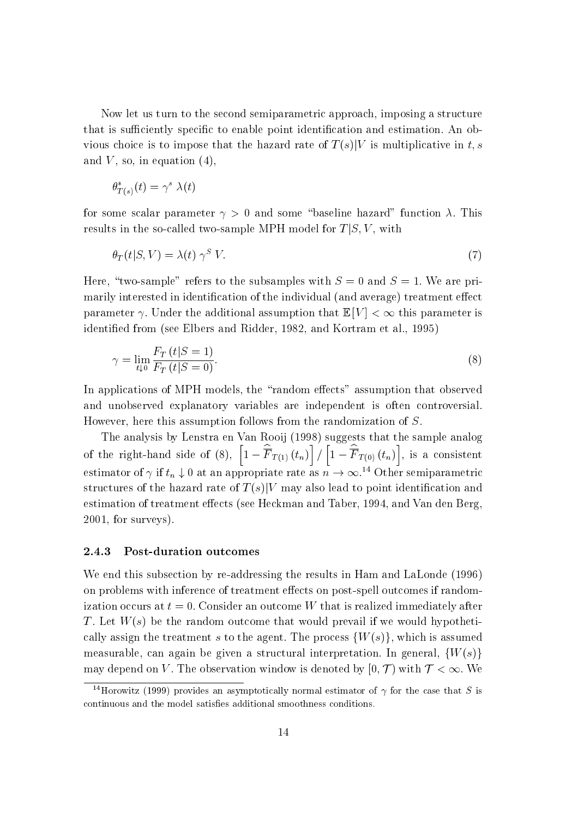Now let us turn to the second semiparametric approach, imposing a structure that is sufficiently specific to enable point identification and estimation. An obvious choice is to impose that the hazard rate of  $T(s)|V$  is multiplicative in t, s and  $V$ , so, in equation  $(4)$ ,

$$
\theta^*_{T(s)}(t) = \gamma^s \lambda(t)
$$

for some scalar parameter  $\gamma > 0$  and some "baseline hazard" function  $\lambda$ . This results in the so-called two-sample MPH model for  $T|S, V$ , with

$$
\theta_T(t|S,V) = \lambda(t) \gamma^S V. \tag{7}
$$

Here, "two-sample" refers to the subsamples with  $S = 0$  and  $S = 1$ . We are primarily interested in identification of the individual (and average) treatment effect parameter  $\gamma$ . Under the additional assumption that  $\mathbb{E}[V] < \infty$  this parameter is identied from (see Elbers and Ridder, 1982, and Kortram et al., 1995)

$$
\gamma = \lim_{t \downarrow 0} \frac{F_T(t|S=1)}{F_T(t|S=0)}.\tag{8}
$$

In applications of MPH models, the "random effects" assumption that observed and unobserved explanatory variables are independent is often controversial. However, here this assumption follows from the randomization of S.

The analysis by Lenstra en Van Rooij (1998) suggests that the sample analog of the right-hand side of (8),  $\left[1 - \widehat{F}_{T(1)}(t_n)\right] / \left[1 - \widehat{F}_{T(0)}(t_n)\right]$ , is a consistent estimator of  $\gamma$  if  $\iota_n \downarrow 0$  at an appropriate rate as  $n \to \infty$ . To ther semiparametric structures of the hazard rate of  $T(s)|V$  may also lead to point identification and estimation of treatment effects (see Heckman and Taber, 1994, and Van den Berg, 2001, for surveys).

#### 2.4.3 Post-duration outcomes

We end this subsection by re-addressing the results in Ham and LaLonde (1996) on problems with inference of treatment effects on post-spell outcomes if randomization occurs at  $t = 0$ . Consider an outcome W that is realized immediately after T. Let  $W(s)$  be the random outcome that would prevail if we would hypothetically assign the treatment s to the agent. The process  $\{W(s)\}\,$ , which is assumed measurable, can again be given a structural interpretation. In general,  $\{W(s)\}$ may depend on V. The observation window is denoted by  $[0, \mathcal{T})$  with  $\mathcal{T} < \infty$ . We

<sup>&</sup>lt;sup>14</sup>Horowitz (1999) provides an asymptotically normal estimator of  $\gamma$  for the case that S is continuous and the model satisfies additional smoothness conditions.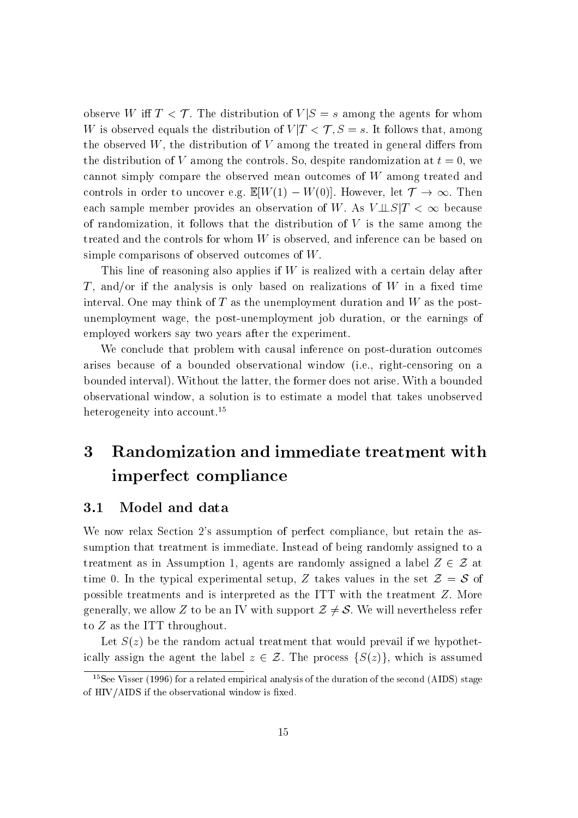observe W iff  $T < T$ . The distribution of  $V|S = s$  among the agents for whom W is observed equals the distribution of  $V/T < T$ ,  $S = s$ . It follows that, among the observed  $W$ , the distribution of  $V$  among the treated in general differs from the distribution of V among the controls. So, despite randomization at  $t = 0$ , we cannot simply compare the observed mean outcomes of <sup>W</sup> among treated and controls in order to uncover e.g.  $\mathbb{E}[W(1) - W(0)]$ . However, let  $\mathcal{T} \to \infty$ . Then each sample member provides an observation of W. As  $V \perp S | T < \infty$  because of randomization, it follows that the distribution of  $V$  is the same among the treated and the controls for whom <sup>W</sup> is observed, and inference can be based on simple comparisons of observed outcomes of W.

This line of reasoning also applies if  $W$  is realized with a certain delay after T, and/or if the analysis is only based on realizations of  $W$  in a fixed time interval. One may think of  $T$  as the unemployment duration and  $W$  as the postunemployment wage, the post-unemployment job duration, or the earnings of employed workers say two years after the experiment.

We conclude that problem with causal inference on post-duration outcomes arises because of a bounded observational window (i.e., right-censoring on a bounded interval). Without the latter, the former does not arise. With a bounded observational window, a solution is to estimate a model that takes unobserved heterogeneity into account.<sup>15</sup>

# 3 Randomization and immediate treatment with imperfect compliance

### 3.1 Model and data

We now relax Section 2's assumption of perfect compliance, but retain the assumption that treatment is immediate. Instead of being randomly assigned to a treatment as in Assumption 1, agents are randomly assigned a label  $Z \in \mathcal{Z}$  at time 0. In the typical experimental setup, Z takes values in the set  $\mathcal{Z} = \mathcal{S}$  of possible treatments and is interpreted as the ITT with the treatment Z. More generally, we allow Z to be an IV with support  $\mathcal{Z} \neq \mathcal{S}$ . We will nevertheless refer to <sup>Z</sup> as the ITT throughout.

Let  $S(z)$  be the random actual treatment that would prevail if we hypothetically assign the agent the label  $z \in \mathcal{Z}$ . The process  $\{S(z)\}\)$ , which is assumed

<sup>&</sup>lt;sup>15</sup>See Visser (1996) for a related empirical analysis of the duration of the second (AIDS) stage of  $HIV/AIDS$  if the observational window is fixed.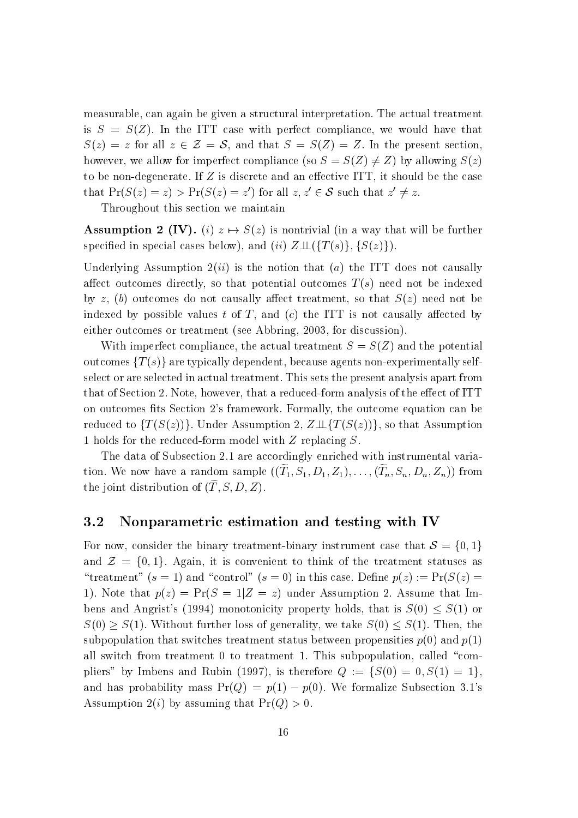measurable, can again be given a structural interpretation. The actual treatment is  $S = S(Z)$ . In the ITT case with perfect compliance, we would have that  $S(z) = z$  for all  $z \in \mathcal{Z} = \mathcal{S}$ , and that  $S = S(Z) = Z$ . In the present section, however, we allow for imperfect compliance (so  $S = S(Z) \neq Z$ ) by allowing  $S(z)$ to be non-degenerate. If  $Z$  is discrete and an effective ITT, it should be the case that  $\Pr(\mathcal{S}(z) = z) \geq \Pr(\mathcal{S}(z) = z)$  for all  $z, z \in \mathcal{S}$  such that  $z \neq z$ .

Throughout this section we maintain

**Assumption 2 (IV).** (i)  $z \mapsto S(z)$  is nontrivial (in a way that will be further specified in special cases below), and (ii)  $Z \perp \!\!\!\perp (\{T(s)\}, \{S(z)\})$ .

Underlying Assumption  $2(ii)$  is the notion that (a) the ITT does not causally affect outcomes directly, so that potential outcomes  $T(s)$  need not be indexed by z, (b) outcomes do not causally affect treatment, so that  $S(z)$  need not be indexed by possible values t of T, and  $(c)$  the ITT is not causally affected by either outcomes or treatment (see Abbring, 2003, for discussion).

With imperfect compliance, the actual treatment  $S = S(Z)$  and the potential outcomes  ${T(s)}$  are typically dependent, because agents non-experimentally selfselect or are selected in actual treatment. This sets the present analysis apart from that of Section 2. Note, however, that a reduced-form analysis of the effect of ITT on outcomes fits Section 2's framework. Formally, the outcome equation can be reduced to  $\{T(S(z))\}\)$ . Under Assumption 2,  $Z \perp \{T(S(z))\}\)$ , so that Assumption 1 holds for the reduced-form model with <sup>Z</sup> replacing S.

The data of Subsection 2.1 are accordingly enriched with instrumental variation. We now have a random sample  $((1], \beta], D], D_1, \ldots, (T_n, \beta_n, D_n, \mathbb{Z}_n)$  from the joint distribution of  $(\widetilde{T}, S, D, Z)$ .

### 3.2 Nonparametric estimation and testing with IV

For now, consider the binary treatment-binary instrument case that  $S = \{0, 1\}$ and  $\mathcal{Z} = \{0, 1\}$ . Again, it is convenient to think of the treatment statuses as "treatment"  $(s = 1)$  and "control"  $(s = 0)$  in this case. Define  $p(z) := Pr(S(z) = 1)$ 1). Note that  $p(z) = Pr(S = 1|Z = z)$  under Assumption 2. Assume that Imbens and Angrist's (1994) monotonicity property holds, that is  $S(0) \leq S(1)$  or  $S(0) \geq S(1)$ . Without further loss of generality, we take  $S(0) \leq S(1)$ . Then, the subpopulation that switches treatment status between propensities  $p(0)$  and  $p(1)$ all switch from treatment 0 to treatment 1. This subpopulation, called "compliers" by Imbens and Rubin (1997), is therefore  $Q := \{S(0) = 0, S(1) = 1\},\$ and has probability mass  $Pr(Q) = p(1) - p(0)$ . We formalize Subsection 3.1's Assumption  $2(i)$  by assuming that  $Pr(Q) > 0$ .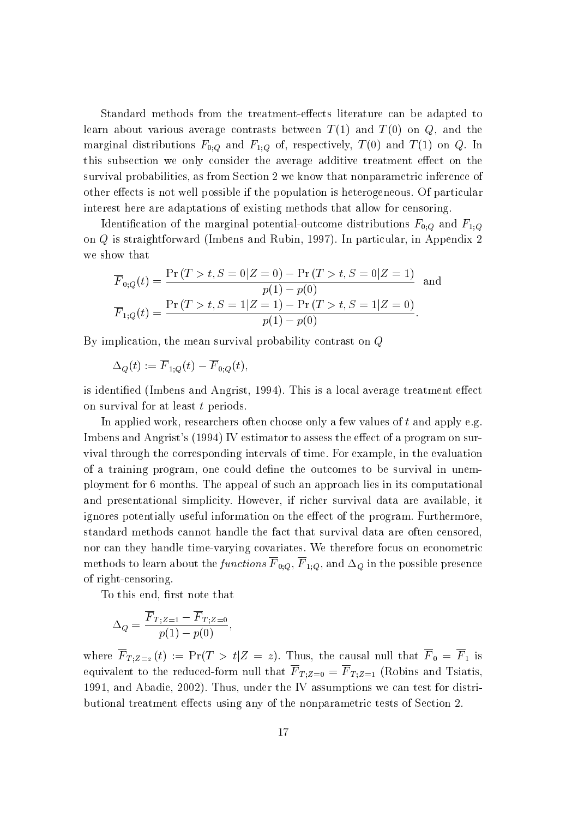Standard methods from the treatment-effects literature can be adapted to learn about various average contrasts between  $T(1)$  and  $T(0)$  on  $Q$ , and the marginal distributions  $F_{0;Q}$  and  $F_{1;Q}$  of, respectively,  $T(0)$  and  $T(1)$  on  $Q$ . In this subsection we only consider the average additive treatment effect on the survival probabilities, as from Section 2 we know that nonparametric inference of other effects is not well possible if the population is heterogeneous. Of particular interest here are adaptations of existing methods that allow for censoring.

Identification of the marginal potential-outcome distributions  $F_{0,Q}$  and  $F_{1,Q}$ on <sup>Q</sup> is straightforward (Imbens and Rubin, 1997). In particular, in Appendix 2 we show that

$$
\overline{F}_{0,Q}(t) = \frac{\Pr(T > t, S = 0|Z = 0) - \Pr(T > t, S = 0|Z = 1)}{p(1) - p(0)} \text{ and}
$$
\n
$$
\overline{F}_{1,Q}(t) = \frac{\Pr(T > t, S = 1|Z = 1) - \Pr(T > t, S = 1|Z = 0)}{p(1) - p(0)}.
$$

By implication, the mean survival probability contrast on <sup>Q</sup>

$$
\Delta_Q(t):=\overline F_{1;Q}(t)-\overline F_{0;Q}(t),
$$

is identified (Imbens and Angrist, 1994). This is a local average treatment effect on survival for at least t periods.

In applied work, researchers often choose only a few values of <sup>t</sup> and apply e.g. Imbens and Angrist's (1994) IV estimator to assess the effect of a program on survival through the corresponding intervals of time. For example, in the evaluation of a training program, one could define the outcomes to be survival in unemployment for 6 months. The appeal of such an approach lies in its computational and presentational simplicity. However, if richer survival data are available, it ignores potentially useful information on the effect of the program. Furthermore, standard methods cannot handle the fact that survival data are often censored, nor can they handle time-varying covariates. We therefore focus on econometric methods to the functions  $\mathcal{C}$  in the possible presence presence presence presence presence presence presence presence presence presence presence presence presence presence presence presence presence presence presence of right-censoring.

To this end, first note that

$$
\Delta_Q = \frac{\overline{F}_{T;Z=1} - \overline{F}_{T;Z=0}}{p(1) - p(0)},
$$

where  $T$  ,  $Z=$   $\omega$  (  $t$  )  $t$  is proportional that  $T$  is the causal number of  $T$  is  $T$  is a function of  $T$  is a function of  $T$  is a function of  $T$  is a function of  $T$  is a function of  $T$  is a function of  $T$  i equivalent to the reduced-form number of  $\mathbf{1} \cdot \mathbf{\mathcal{U}} = \mathbf{1} \cdot \mathbf{\mathcal{U}} = \mathbf{1} \cdot \mathbf{\mathcal{U}} = \mathbf{1} \cdot \mathbf{\mathcal{U}} = \mathbf{1} \cdot \mathbf{\mathcal{U}} = \mathbf{1} \cdot \mathbf{\mathcal{U}} = \mathbf{1} \cdot \mathbf{\mathcal{U}} = \mathbf{1} \cdot \mathbf{\mathcal{U}} = \mathbf{1} \cdot \mathbf{\mathcal{U}} = \mathbf{1} \cdot \mathbf{\mathcal{U}}$ 1991, and Abadie, 2002). Thus, under the IV assumptions we can test for distributional treatment effects using any of the nonparametric tests of Section 2.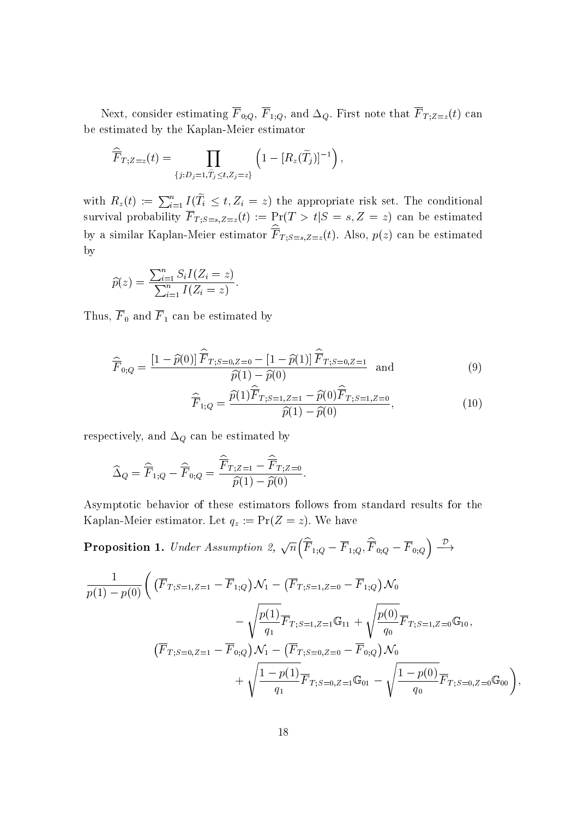$N$  (1)  $N$  (2)  $1$  1;  $Q$  and  $Q$  and  $Q$  and  $Q$  and  $Q$  is the  $I$  ;  $Z=$   $\forall$  that  $I$ be estimated by the Kaplan-Meier estimator

$$
\widehat{\overline{F}}_{T;Z=z}(t)=\prod_{\{j:D_j=1,\widetilde{T}_j\leq t,Z_j=z\}}\left(1-[R_z(\widetilde{T}_j)]^{-1}\right),
$$

with  $R_z(t) := \sum_{i=1}^n I(T_i \leq t, Z_i = z)$  the appropriate risk set. The conditional  $S$ urival probability F  $I$  ; $S=3, Z=2$ (t) := Pr(T  $>$  tj $S$  =  $S$ ) can be estimated. by a similar Kaplan-Meier estimator  $F_{T;S=s,Z=z}(t)$ . Also,  $p(z)$  can be estimated by

$$
\widehat{p}(z) = \frac{\sum_{i=1}^n S_i I(Z_i = z)}{\sum_{i=1}^n I(Z_i = z)}.
$$

Thus, <sup>F</sup> <sup>0</sup> and <sup>F</sup> <sup>1</sup> can be estimated by

$$
\widehat{\overline{F}}_{0;Q} = \frac{\left[1 - \widehat{p}(0)\right]\widehat{\overline{F}}_{T;S=0,Z=0} - \left[1 - \widehat{p}(1)\right]\widehat{\overline{F}}_{T;S=0,Z=1}}{\widehat{p}(1) - \widehat{p}(0)} \text{ and } (9)
$$

$$
\widehat{\overline{F}}_{1;Q} = \frac{\widehat{p}(1)\widehat{\overline{F}}_{T;S=1,Z=1} - \widehat{p}(0)\widehat{\overline{F}}_{T;S=1,Z=0}}{\widehat{p}(1) - \widehat{p}(0)},\tag{10}
$$

respectively, and  $\Delta_Q$  can be estimated by

$$
\widehat{\Delta}_Q = \widehat{\overline{F}}_{1;Q} - \widehat{\overline{F}}_{0;Q} = \frac{\widehat{\overline{F}}_{T;Z=1} - \widehat{\overline{F}}_{T;Z=0}}{\widehat{p}(1) - \widehat{p}(0)}.
$$

Asymptotic behavior of these estimators follows from standard results for the Kaplan-Meier estimator. Let  $q_z := \Pr(Z = z)$ . We have

**Proposition 1.** Under Assumption 2,  $\sqrt{n}(\widehat{\overline{F}}_{1;Q} - \overline{F}_{1;Q}, \widehat{\overline{F}}_{0;Q} - \overline{F}_{0;Q}) \stackrel{\mathcal{D}}{\longrightarrow}$ 

$$
\frac{1}{p(1) - p(0)} \left( \left( \overline{F}_{T;S=1,Z=1} - \overline{F}_{1;Q} \right) \mathcal{N}_1 - \left( \overline{F}_{T;S=1,Z=0} - \overline{F}_{1;Q} \right) \mathcal{N}_0 \right. \\
\left. - \sqrt{\frac{p(1)}{q_1}} \overline{F}_{T;S=1,Z=1} \mathbb{G}_{11} + \sqrt{\frac{p(0)}{q_0}} \overline{F}_{T;S=1,Z=0} \mathbb{G}_{10}, \right. \\
\left. \left( \overline{F}_{T;S=0,Z=1} - \overline{F}_{0;Q} \right) \mathcal{N}_1 - \left( \overline{F}_{T;S=0,Z=0} - \overline{F}_{0;Q} \right) \mathcal{N}_0 \right. \\
\left. + \sqrt{\frac{1 - p(1)}{q_1}} \overline{F}_{T;S=0,Z=1} \mathbb{G}_{01} - \sqrt{\frac{1 - p(0)}{q_0}} \overline{F}_{T;S=0,Z=0} \mathbb{G}_{00} \right),
$$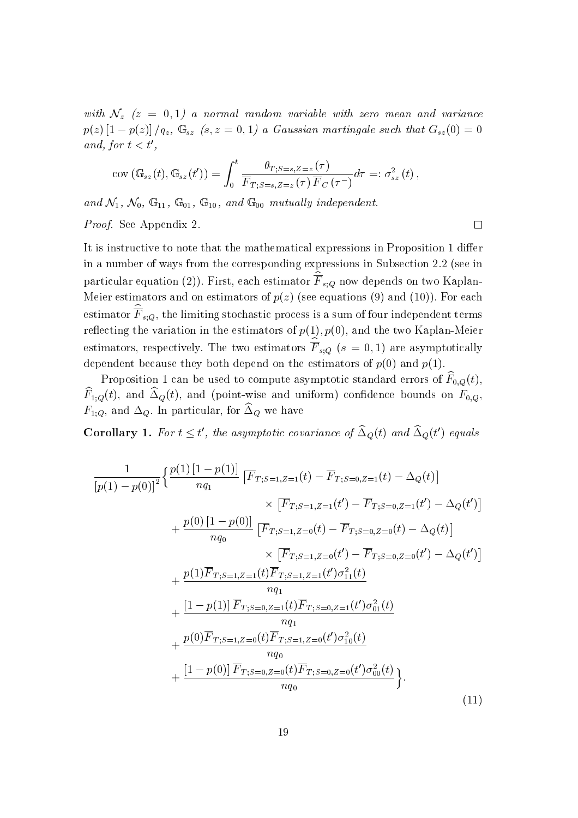with  $\mathcal{N}_z$  (z = 0,1) a normal random variable with zero mean and variance  $p(z)$   $[1 - p(z)]/q_z$ ,  $\mathbb{G}_{sz}$   $(s, z = 0, 1)$  a Gaussian martingale such that  $G_{sz} (0) = 0$ and, for  $t < t'$ ,

$$
cov\left(\mathbb{G}_{sz}(t),\mathbb{G}_{sz}(t')\right)=\int_0^t\frac{\theta_{T;S=s,Z=z}\left(\tau\right)}{\overline{F}_{T;S=s,Z=z}\left(\tau\right)\overline{F}_C\left(\tau^-\right)}d\tau=:\sigma_{sz}^2\left(t\right),
$$

and  $\mathcal{N}_1$ ,  $\mathcal{N}_0$ ,  $\mathbb{G}_{11}$ ,  $\mathbb{G}_{01}$ ,  $\mathbb{G}_{10}$ , and  $\mathbb{G}_{00}$  mutually independent.

Proof. See Appendix 2.

It is instructive to note that the mathematical expressions in Proposition 1 differ in a number of ways from the corresponding expressions in Subsection 2.2 (see in particular equation (2)). First, each estimator  $F_{s,Q}$  now depends on two Kaplan-Meier estimators and on estimators of  $p(z)$  (see equations (9) and (10)). For each estimator  $F_{s;Q}$ , the limiting stochastic process is a sum of four independent terms reflecting the variation in the estimators of  $p(1), p(0)$ , and the two Kaplan-Meier estimators, respectively. The two estimators  $F_{s;Q}$  ( $s = 0,1$ ) are asymptotically dependent because they both depend on the estimators of  $p(0)$  and  $p(1)$ .

 $\Box$ 

r roposition i can be used to compute asymptotic standard errors or  $F_{0,Q}(t)$ ,  $F_{1;Q}(\ell)$ , and  $\Delta Q(\ell)$ , and (point-wise and uniform) connuence bounds on  $F_{0,Q}$ ,  $F_{1;Q}$ , and  $\Delta Q$ . In particular, for  $\Delta Q$  we have

Corollary 1. For  $t \leq t$ , the asymptotic covariance of  $\Delta_Q(t)$  and  $\Delta_Q(t)$  equals

$$
\frac{1}{[p(1)-p(0)]^2} \left\{ \frac{p(1)[1-p(1)]}{nq_1} \left[ \overline{F}_{T;S=1,Z=1}(t) - \overline{F}_{T;S=0,Z=1}(t) - \Delta_Q(t) \right] \right. \\
\left. \times \left[ \overline{F}_{T;S=1,Z=1}(t') - \overline{F}_{T;S=0,Z=1}(t') - \Delta_Q(t') \right] \right. \\
\left. + \frac{p(0)[1-p(0)]}{nq_0} \left[ \overline{F}_{T;S=1,Z=0}(t) - \overline{F}_{T;S=0,Z=0}(t) - \Delta_Q(t) \right] \right. \\
\left. \times \left[ \overline{F}_{T;S=1,Z=0}(t') - \overline{F}_{T;S=0,Z=0}(t') - \Delta_Q(t') \right] \right. \\
\left. + \frac{p(1)\overline{F}_{T;S=1,Z=1}(t)\overline{F}_{T;S=1,Z=1}(t')\sigma_{11}^2(t)}{nq_1} \right. \\
\left. + \frac{[1-p(1)]\overline{F}_{T;S=0,Z=1}(t)\overline{F}_{T;S=0,Z=1}(t')\sigma_{10}^2(t)}{nq_0} \right. \\
\left. + \frac{p(0)\overline{F}_{T;S=1,Z=0}(t)\overline{F}_{T;S=1,Z=0}(t')\sigma_{10}^2(t)}{nq_0} \right\}.
$$
\n(11)

19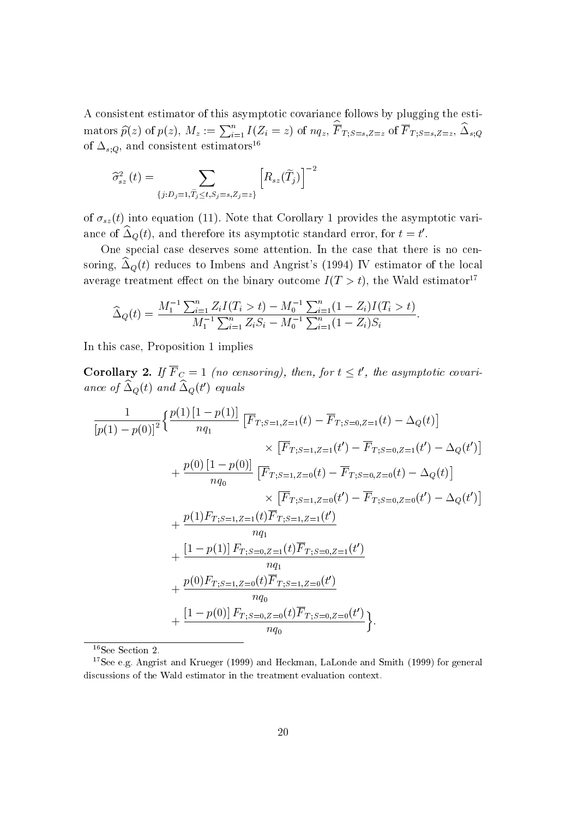<sup>A</sup> consistent estimator of this asymptotic covariance follows by plugging the esti- $\text{mators }\widehat{p}(z) \text{ of } p(z),\ M_z:=\sum_{i=1}^n I(Z_i=z) \text{ of } nq_z,\ F_{T;S=s,Z=z} \text{ of }F_{T;S=s,Z=z},\ \Delta_{s;Q}$ of  $\Delta_{s;Q}$ , and consistent estimators<sup>16</sup>

$$
\widehat{\sigma}_{sz}^{2}\left(t\right)=\sum_{\left\{j:D_{j}=1,\widetilde{T}_{j}\leq t,S_{j}=s,Z_{j}=z\right\}}\left[\boldsymbol{R}_{sz}(\widetilde{T}_{j})\right]^{-2}
$$

of  $\sigma_{sz}(t)$  into equation (11). Note that Corollary 1 provides the asymptotic variance of  $\Delta_Q(t)$ , and therefore its asymptotic standard error, for  $t \equiv t$  .

One special case deserves some attention. In the case that there is no censoring,  $\Delta_{\mathcal{Q}}(t)$  reduces to Imbens and Angrist's (1994) IV estimator of the local average treatment effect on the binary outcome  $I(T > t)$ , the Wald estimator<sup>17</sup>

$$
\widehat{\Delta}_Q(t) = \frac{M_1^{-1} \sum_{i=1}^n Z_i I(T_i > t) - M_0^{-1} \sum_{i=1}^n (1 - Z_i) I(T_i > t)}{M_1^{-1} \sum_{i=1}^n Z_i S_i - M_0^{-1} \sum_{i=1}^n (1 - Z_i) S_i}.
$$

In this case, Proposition 1 implies

**Corollary 2.** If  $r_{\textit{C}} = 1$  (no censoring), then, for  $t \leq t$ , the asymptotic covariance of  $\Delta_Q(t)$  and  $\Delta_Q(t)$  equals

$$
\frac{1}{[p(1) - p(0)]^2} \left\{ \frac{p(1) [1 - p(1)]}{nq_1} \left[ \overline{F}_{T;S=1,Z=1}(t) - \overline{F}_{T;S=0,Z=1}(t) - \Delta_Q(t) \right] \right.\times \left[ \overline{F}_{T;S=1,Z=1}(t') - \overline{F}_{T;S=0,Z=1}(t') - \Delta_Q(t') \right] \n+ \frac{p(0) [1 - p(0)]}{nq_0} \left[ \overline{F}_{T;S=1,Z=0}(t) - \overline{F}_{T;S=0,Z=0}(t) - \Delta_Q(t) \right] \times \left[ \overline{F}_{T;S=1,Z=0}(t') - \overline{F}_{T;S=0,Z=0}(t') - \Delta_Q(t') \right] \n+ \frac{p(1) F_{T;S=1,Z=1}(t) \overline{F}_{T;S=1,Z=1}(t')}{nq_1} \n+ \frac{[1 - p(1)] F_{T;S=0,Z=1}(t) \overline{F}_{T;S=0,Z=1}(t')}_{nq_0} \n+ \frac{p(0) F_{T;S=1,Z=0}(t) \overline{F}_{T;S=1,Z=0}(t')}_{nq_0}.
$$

16See Section 2.

<sup>17</sup>See e.g. Angrist and Krueger (1999) and Heckman, LaLonde and Smith (1999) for general discussions of the Wald estimator in the treatment evaluation context.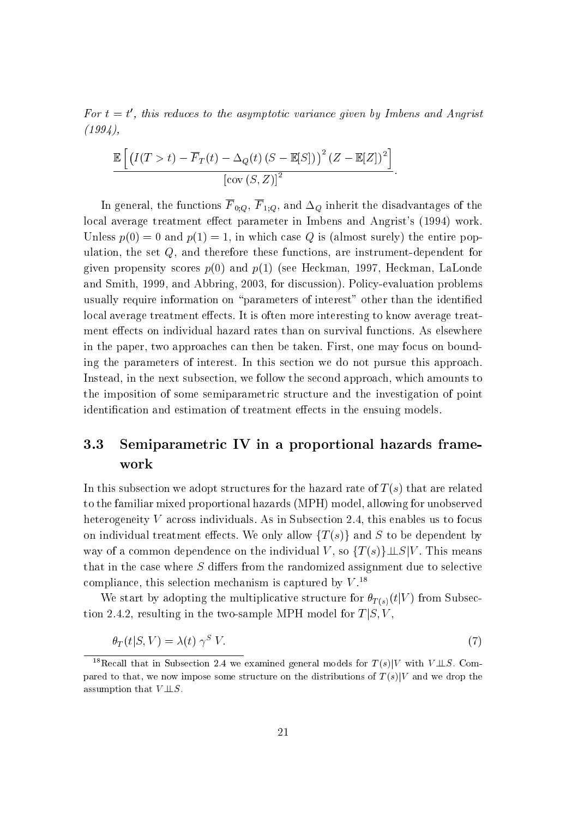$F$ or  $t = t$ , this reauces to the asymptotic variance qiven by Imbens and Angrist  $(1994),$ 

$$
\frac{\mathbb{E}\left[\left(I(T>t)-\overline{F}_T(t)-\Delta_Q(t)(S-\mathbb{E}[S])\right)^2(Z-\mathbb{E}[Z])^2\right]}{\left[\text{cov}(S,Z)\right]^2}.
$$

 $\Omega$  in general, the functions  $\mathbb{Q}$  in  $\mathbb{Q}$  in  $\mathbb{Q}$  in the disadvantages of the disadvantages of the disadvantages of the disadvantages of the disadvantages of the disadvantages of the disadvantages of the dis local average treatment effect parameter in Imbens and Angrist's (1994) work. Unless  $p(0) = 0$  and  $p(1) = 1$ , in which case Q is (almost surely) the entire population, the set Q, and therefore these functions, are instrument-dependent for given propensity scores  $p(0)$  and  $p(1)$  (see Heckman, 1997, Heckman, LaLonde and Smith, 1999, and Abbring, 2003, for discussion). Policy-evaluation problems usually require information on "parameters of interest" other than the identified local average treatment effects. It is often more interesting to know average treatment effects on individual hazard rates than on survival functions. As elsewhere in the paper, two approaches can then be taken. First, one may focus on bounding the parameters of interest. In this section we do not pursue this approach. Instead, in the next subsection, we follow the second approach, which amounts to the imposition of some semiparametric structure and the investigation of point identification and estimation of treatment effects in the ensuing models.

# 3.3 Semiparametric IV in a proportional hazards framework

In this subsection we adopt structures for the hazard rate of  $T(s)$  that are related to the familiar mixed proportional hazards (MPH) model, allowing for unobserved heterogeneity <sup>V</sup> across individuals. As in Subsection 2.4, this enables us to focus on individual treatment effects. We only allow  $\{T(s)\}\$  and S to be dependent by way of a common dependence on the individual V, so  $\{T(s)\}\perp\!\!\!\perp S|V$ . This means that in the case where  $S$  differs from the randomized assignment due to selective compliance, this selection mechanism is captured by  $V^{18}$ .

We start by adopting the multiplicative structure for  $\theta_{T(s)}(t|V)$  from Subsection 2.4.2, resulting in the two-sample MPH model for  $T|S, V$ ,

$$
\theta_T(t|S,V) = \lambda(t) \gamma^S V. \tag{7}
$$

<sup>&</sup>lt;sup>18</sup>Recall that in Subsection 2.4 we examined general models for  $T(s)|V$  with  $V \perp S$ . Compared to that, we now impose some structure on the distributions of  $T(s)|V$  and we drop the assumption that  $V \perp\!\!\!\perp S$ .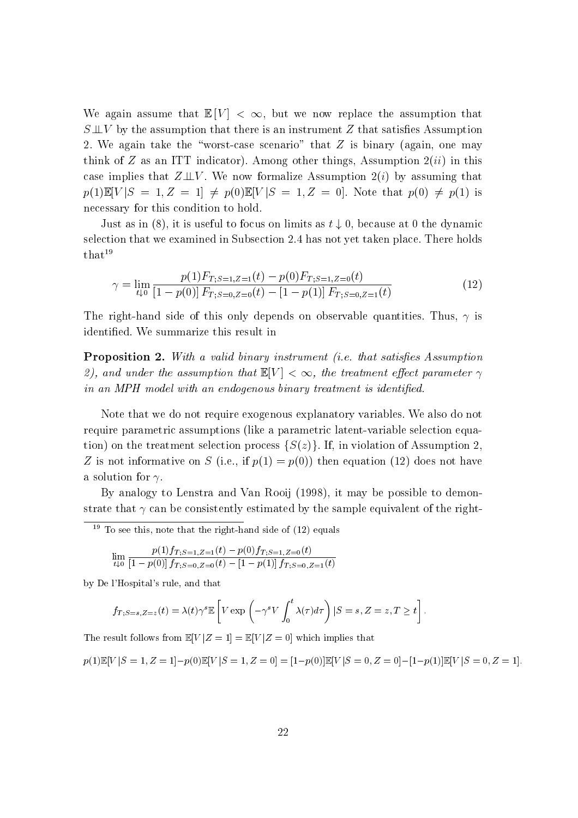We again assume that  $\mathbb{E}[V] < \infty$ , but we now replace the assumption that  $S \perp\!\!\!\perp V$  by the assumption that there is an instrument Z that satisfies Assumption 2. We again take the "worst-case scenario" that  $Z$  is binary (again, one may think of Z as an ITT indicator). Among other things, Assumption  $2(ii)$  in this case implies that  $Z \perp\!\!\!\perp V$ . We now formalize Assumption  $2(i)$  by assuming that  $p(1)\mathbb{E}[V|S = 1, Z = 1] \neq p(0)\mathbb{E}[V|S = 1, Z = 0].$  Note that  $p(0) \neq p(1)$  is necessary for this condition to hold.

Just as in (8), it is useful to focus on limits as  $t \downarrow 0$ , because at 0 the dynamic selection that we examined in Subsection 2.4 has not yet taken place. There holds  $that<sup>19</sup>$ 

$$
\gamma = \lim_{t \downarrow 0} \frac{p(1) F_{T;S=1,Z=1}(t) - p(0) F_{T;S=1,Z=0}(t)}{[1 - p(0)] F_{T;S=0,Z=0}(t) - [1 - p(1)] F_{T;S=0,Z=1}(t)}
$$
(12)

The right-hand side of this only depends on observable quantities. Thus,  $\gamma$  is identied. We summarize this result in

**Proposition 2.** With a valid binary instrument (i.e. that satisfies Assumption 2), and under the assumption that  $\mathbb{E}[V] < \infty$ , the treatment effect parameter  $\gamma$ in an MPH model with an endogenous binary treatment is identified.

Note that we do not require exogenous explanatory variables. We also do not require parametric assumptions (like a parametric latent-variable selection equation) on the treatment selection process  $\{S(z)\}\.$  If, in violation of Assumption 2, Z is not informative on S (i.e., if  $p(1) = p(0)$ ) then equation (12) does not have a solution for  $\gamma$ .

By analogy to Lenstra and Van Rooij (1998), it may be possible to demonstrate that  $\gamma$  can be consistently estimated by the sample equivalent of the right-

 $\sim$  10 see this, note that the right-hand side of (12) equals

$$
\lim_{t\downarrow 0} \frac{p(1)f_{T;S=1,Z=1}(t)-p(0)f_{T;S=1,Z=0}(t)}{[1-p(0)]f_{T;S=0,Z=0}(t)-[1-p(1)]f_{T;S=0,Z=1}(t)}
$$

by De l'Hospital's rule, and that

$$
f_{T;S=s,Z=z}(t) = \lambda(t)\gamma^{s}\mathbb{E}\left[V \exp\left(-\gamma^{s}V \int_{0}^{t} \lambda(\tau)d\tau\right)|S=s,Z=z,T\geq t\right].
$$

The result follows from  $\mathbb{E}[V|Z = 1] = \mathbb{E}[V|Z = 0]$  which implies that

$$
p(1)\mathbb{E}[V|S=1,Z=1]-p(0)\mathbb{E}[V|S=1,Z=0]=[1-p(0)]\mathbb{E}[V|S=0,Z=0]-[1-p(1)]\mathbb{E}[V|S=0,Z=1].
$$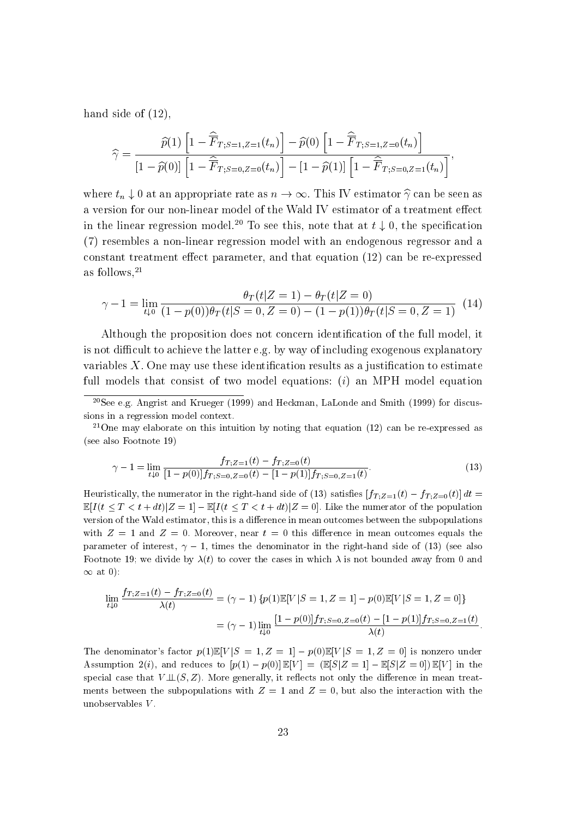hand side of  $(12)$ ,

$$
\widehat{\gamma} = \frac{\widehat{p}(1) \left[ 1 - \widehat{\overline{F}}_{T; S=1, Z=1}(t_n) \right] - \widehat{p}(0) \left[ 1 - \widehat{\overline{F}}_{T; S=1, Z=0}(t_n) \right]}{\left[ 1 - \widehat{p}(0) \right] \left[ 1 - \widehat{\overline{F}}_{T; S=0, Z=0}(t_n) \right] - \left[ 1 - \widehat{p}(1) \right] \left[ 1 - \widehat{\overline{F}}_{T; S=0, Z=1}(t_n) \right]},
$$

where  $t_n \downarrow 0$  at an appropriate rate as  $n \to \infty$ . This IV estimator  $\hat{\gamma}$  can be seen as a version for our non-linear model of the Wald IV estimator of a treatment effect in the linear regression model.<sup>20</sup> To see this, note that at  $t \downarrow 0$ , the specification (7) resembles a non-linear regression model with an endogenous regressor and a constant treatment effect parameter, and that equation  $(12)$  can be re-expressed as follows,  $21$ 

$$
\gamma - 1 = \lim_{t \downarrow 0} \frac{\theta_T(t|Z=1) - \theta_T(t|Z=0)}{(1 - p(0))\theta_T(t|S=0, Z=0) - (1 - p(1))\theta_T(t|S=0, Z=1)} \tag{14}
$$

Although the proposition does not concern identification of the full model, it is not difficult to achieve the latter e.g. by way of including exogenous explanatory variables  $X$ . One may use these identification results as a justification to estimate full models that consist of two model equations:  $(i)$  an MPH model equation

<sup>21</sup>One may elaborate on this intuition by noting that equation  $(12)$  can be re-expressed as (see also Footnote 19)

$$
\gamma - 1 = \lim_{t \downarrow 0} \frac{f_{T;Z=1}(t) - f_{T;Z=0}(t)}{[1 - p(0)]f_{T;S=0,Z=0}(t) - [1 - p(1)]f_{T;S=0,Z=1}(t)}.\tag{13}
$$

Heuristically, the numerator in the right-hand side of (13) satisfies  $[f_{T,Z=1}(t) - f_{T,Z=0}(t)] dt =$  $\mathbb{E}[I(t \leq T < t + dt)|Z = 1] - \mathbb{E}[I(t \leq T < t + dt)|Z = 0].$  Like the numerator of the population version of the Wald estimator, this is a difference in mean outcomes between the subpopulations with  $Z = 1$  and  $Z = 0$ . Moreover, near  $t = 0$  this difference in mean outcomes equals the parameter of interest,  $\gamma - 1$ , times the denominator in the right-hand side of (13) (see also Footnote 19; we divide by  $\lambda(t)$  to cover the cases in which  $\lambda$  is not bounded away from 0 and  $\infty$  at 0):

$$
\lim_{t \downarrow 0} \frac{f_{T,Z=1}(t) - f_{T,Z=0}(t)}{\lambda(t)} = (\gamma - 1) \{p(1)\mathbb{E}[V|S=1, Z=1] - p(0)\mathbb{E}[V|S=1, Z=0]\}
$$

$$
= (\gamma - 1) \lim_{t \downarrow 0} \frac{[1 - p(0)]f_{T,S=0,Z=0}(t) - [1 - p(1)]f_{T,S=0,Z=1}(t)}{\lambda(t)}.
$$

The denominator's factor  $p(1)\mathbb{E}[V|S=1, Z=1] - p(0)\mathbb{E}[V|S=1, Z=0]$  is nonzero under Assumption 2(i), and reduces to  $[p(1) - p(0)] \mathbb{E}[V] = (\mathbb{E}[S|Z = 1] - \mathbb{E}[S|Z = 0]) \mathbb{E}[V]$  in the special case that  $V \perp (S, Z)$ . More generally, it reflects not only the difference in mean treatments between the subpopulations with  $Z = 1$  and  $Z = 0$ , but also the interaction with the unobservables <sup>V</sup> .

<sup>20</sup>See e.g. Angrist and Krueger (1999) and Heckman, LaLonde and Smith (1999) for discussions in a regression model context.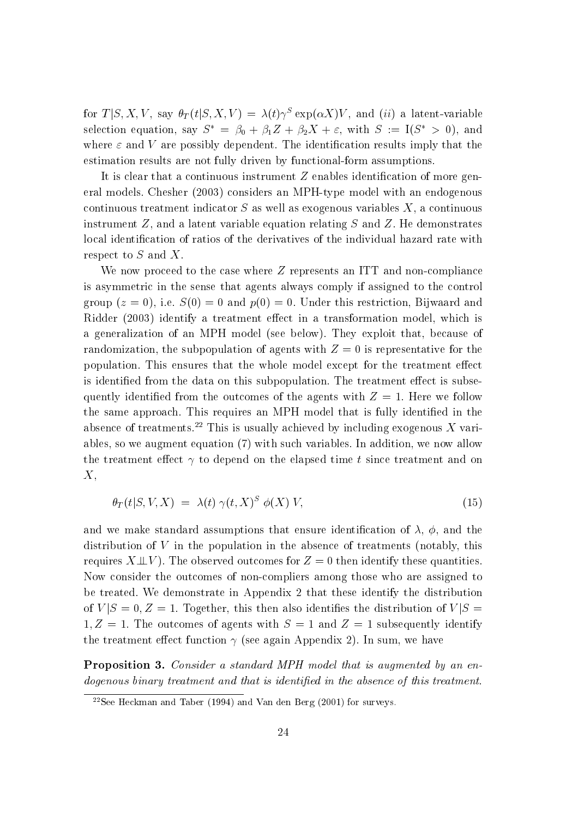for  $T(\beta, \Lambda, V, \text{say } \sigma_T(\iota | \beta, \Lambda, V) \equiv \lambda(\iota) \gamma$  exp $(\alpha \Lambda) V$ , and  $(u)$  a fatent-variable selection equation, say  $S^* = \beta_0 + \beta_1 Z + \beta_2 X + \varepsilon$ , with  $S := I(S^* > 0)$ , and where  $\varepsilon$  and V are possibly dependent. The identification results imply that the estimation results are not fully driven by functional-form assumptions.

It is clear that a continuous instrument  $Z$  enables identification of more general models. Chesher (2003) considers an MPH-type model with an endogenous continuous treatment indicator  $S$  as well as exogenous variables  $X$ , a continuous instrument  $Z$ , and a latent variable equation relating  $S$  and  $Z$ . He demonstrates local identification of ratios of the derivatives of the individual hazard rate with respect to <sup>S</sup> and X.

We now proceed to the case where Z represents an ITT and non-compliance is asymmetric in the sense that agents always comply if assigned to the control group ( $z = 0$ ), i.e.  $S(0) = 0$  and  $p(0) = 0$ . Under this restriction, Bijwaard and Ridder (2003) identify a treatment effect in a transformation model, which is a generalization of an MPH model (see below). They exploit that, because of randomization, the subpopulation of agents with  $Z = 0$  is representative for the population. This ensures that the whole model except for the treatment effect is identified from the data on this subpopulation. The treatment effect is subsequently identified from the outcomes of the agents with  $Z = 1$ . Here we follow the same approach. This requires an MPH model that is fully identified in the absence of treatments.<sup>22</sup> This is usually achieved by including exogenous  $X$  variables, so we augment equation (7) with such variables. In addition, we now allow the treatment effect  $\gamma$  to depend on the elapsed time t since treatment and on  $X,$ 

$$
\theta_T(t|S, V, X) = \lambda(t) \gamma(t, X)^S \phi(X) V, \qquad (15)
$$

and we make standard assumptions that ensure identification of  $\lambda$ ,  $\phi$ , and the distribution of  $V$  in the population in the absence of treatments (notably, this requires  $X \perp\!\!\!\perp V$ . The observed outcomes for  $Z = 0$  then identify these quantities. Now consider the outcomes of non-compliers among those who are assigned to be treated. We demonstrate in Appendix 2 that these identify the distribution of  $V|S=0, Z=1$ . Together, this then also identifies the distribution of  $V|S=$  $1, Z = 1$ . The outcomes of agents with  $S = 1$  and  $Z = 1$  subsequently identify the treatment effect function  $\gamma$  (see again Appendix 2). In sum, we have

Proposition 3. Consider a standard MPH model that is augmented by an endogenous binary treatment and that is identified in the absence of this treatment.

<sup>22</sup>See Heckman and Taber (1994) and Van den Berg (2001) for surveys.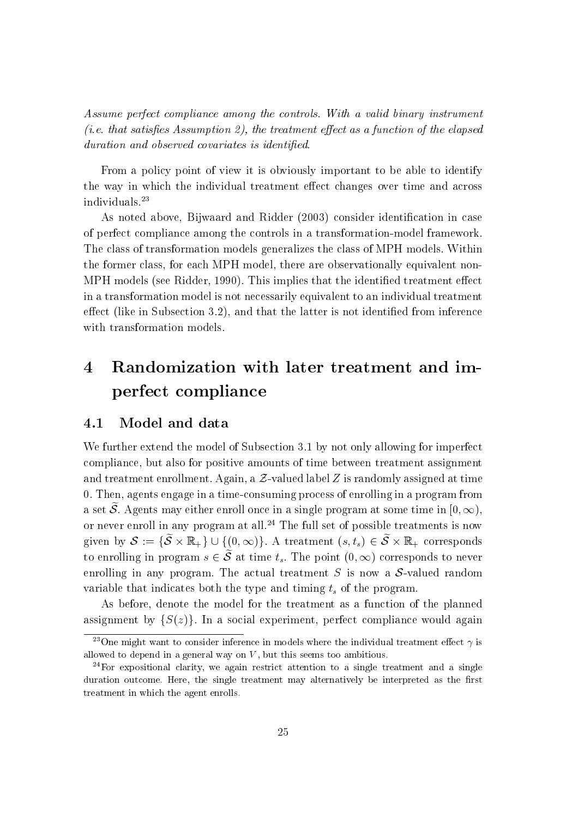Assume perfect compliance among the controls. With a valid binary instrument (*i.e.* that satisfies Assumption 2), the treatment effect as a function of the elapsed duration and observed covariates is identified.

From a policy point of view it is obviously important to be able to identify the way in which the individual treatment effect changes over time and across individuals.23

As noted above, Bijwaard and Ridder (2003) consider identification in case of perfect compliance among the controls in a transformation-model framework. The class of transformation models generalizes the class of MPH models. Within the former class, for each MPH model, there are observationally equivalent non-MPH models (see Ridder, 1990). This implies that the identified treatment effect in a transformation model is not necessarily equivalent to an individual treatment  $effect$  (like in Subsection 3.2), and that the latter is not identified from inference with transformation models.

#### Randomization with later treatment and im- $\boldsymbol{4}$ perfect compliance

#### 4.1 Model and data

We further extend the model of Subsection 3.1 by not only allowing for imperfect compliance, but also for positive amounts of time between treatment assignment and treatment enrollment. Again, a  $\mathcal Z$ -valued label Z is randomly assigned at time 0. Then, agents engage in a time-consuming process of enrolling in a program from a set  $\widetilde{\mathcal{S}}$ . Agents may either enroll once in a single program at some time in  $[0, \infty)$ , or never enroll in any program at all.<sup>24</sup> The full set of possible treatments is now given by  $S := \{S \wedge \mathbb{R}^+ \}$   $\cup$   $\{0, \infty\}$ . A treatment  $\{S, t_s\} \subset S \wedge \mathbb{R}^+$  corresponds to enrolling in program  $s \in \widetilde{S}$  at time  $t_s$ . The point  $(0, \infty)$  corresponds to never enrolling in any program. The actual treatment  $S$  is now a  $S$ -valued random variable that indicates both the type and timing  $t_s$  of the program.

As before, denote the model for the treatment as a function of the planned assignment by  $\{S(z)\}\$ . In a social experiment, perfect compliance would again

<sup>&</sup>lt;sup>23</sup>One might want to consider inference in models where the individual treatment effect  $\gamma$  is allowed to depend in a general way on  $V$ , but this seems too ambitious.

<sup>24</sup>For expositional clarity, we again restrict attention to a single treatment and a single duration outcome. Here, the single treatment may alternatively be interpreted as the first treatment in which the agent enrolls.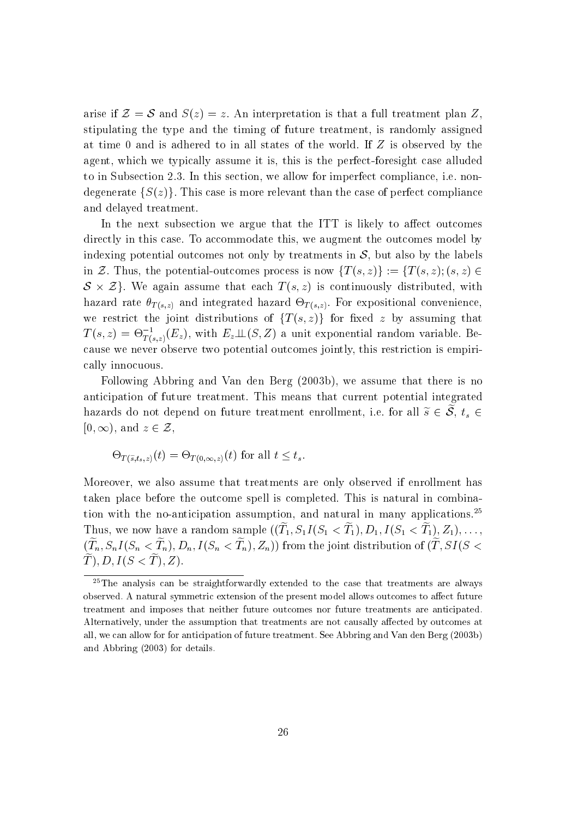arise if  $\mathcal{Z} = \mathcal{S}$  and  $S(z) = z$ . An interpretation is that a full treatment plan Z. stipulating the type and the timing of future treatment, is randomly assigned at time 0 and is adhered to in all states of the world. If <sup>Z</sup> is observed by the agent, which we typically assume it is, this is the perfect-foresight case alluded to in Subsection 2.3. In this section, we allow for imperfect compliance, i.e. nondegenerate  $\{S(z)\}\.$  This case is more relevant than the case of perfect compliance and delayed treatment.

In the next subsection we argue that the ITT is likely to affect outcomes directly in this case. To accommodate this, we augment the outcomes model by indexing potential outcomes not only by treatments in  $S$ , but also by the labels in Z. Thus, the potential-outcomes process is now  $\{T(s, z)\} := \{T(s, z); (s, z) \in$ S - Zg. We again assume that each <sup>T</sup> (s; z) is continuously distributed, with  $\mathcal{L} \setminus \{0, \omega\}$  and integrated integrated integrated hazard  $\mathcal{L} \setminus \{0, \omega\}$  . For expositional convenience, and integrated integrated integrated integrated integrated integrated in we restrict the joint distributions of  $\{T(s,z)\}\;$  for fixed z by assuming that  $T\left(s,z\right)=\Theta_{T\left(s,z\right)}(E_{z}),$  with  $E_{z}\bot\!\!\!\bot\left(s,Z\right)$  a unit exponential random variable. Because we never observe two potential outcomes jointly, this restriction is empirically innocuous.

Following Abbring and Van den Berg (2003b), we assume that there is no anticipation of future treatment. This means that current potential integrated hazards do not depend on future treatment enrollment, i.e. for all  $\widetilde{s} \in \widetilde{S}$ ,  $t_s \in$  $[0, \infty)$ , and  $z \in \mathcal{Z}$ ,

$$
\Theta_{T(\widetilde{s},t_s,z)}(t) = \Theta_{T(0,\infty,z)}(t) \text{ for all } t \leq t_s.
$$

Moreover, we also assume that treatments are only observed if enrollment has taken place before the outcome spell is completed. This is natural in combination with the no-anticipation assumption, and natural in many applications.<sup>25</sup> Thus, we now have a random sample ((Te <sup>1</sup>; S1I (S1 <sup>&</sup>lt; Te <sup>1</sup>); D1; I (S1 <sup>&</sup>lt; Te 1); Z1);:::;  $(T_n, \mathcal{D}_n I \cup \mathcal{D}_n \leq T_n)$ ,  $D_n, I \cup \mathcal{D}_n \leq T_n$   $(T_n, \mathcal{D}_n I)$  from the joint distribution of  $(T_n, \mathcal{D}_I \cup \mathcal{D}_n)$  $\widetilde{T}$ , D,  $I(S < \widetilde{T})$ , Z).

<sup>25</sup>The analysis can be straightforwardly extended to the case that treatments are always observed. A natural symmetric extension of the present model allows outcomes to affect future treatment and imposes that neither future outcomes nor future treatments are anticipated. Alternatively, under the assumption that treatments are not causally affected by outcomes at all, we can allow for for anticipation of future treatment. See Abbring and Van den Berg (2003b) and Abbring (2003) for details.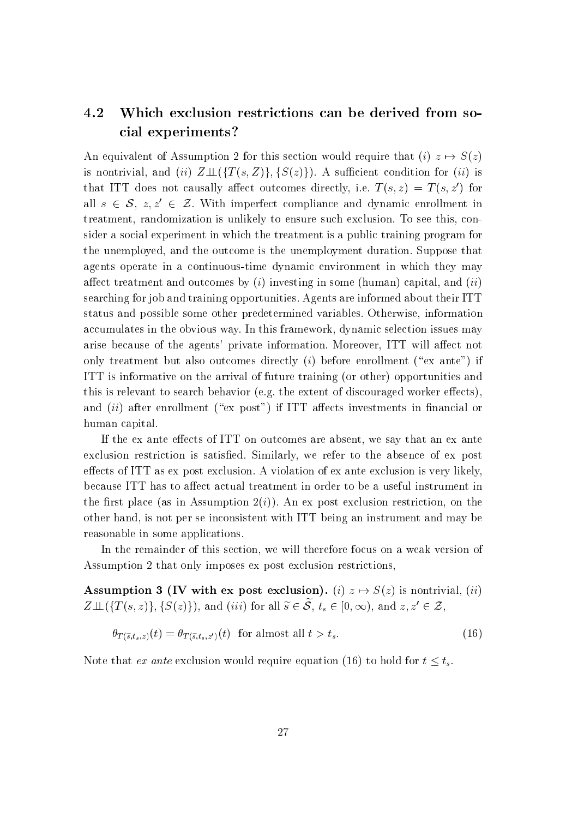#### 4.2 Which exclusion restrictions can be derived from social experiments?

An equivalent of Assumption 2 for this section would require that (i)  $z \mapsto S(z)$ is nontrivial, and (ii)  $Z \perp \!\!\!\perp (\{T (s, Z)\}, \{S(z)\})$ . A sufficient condition for (ii) is that ITT does not causally affect outcomes directly, i.e.  $T(s, z) = T(s, z')$  for all  $s \in \mathcal{S}, z, z' \in \mathcal{Z}$ . With imperfect compliance and dynamic enrollment in treatment, randomization is unlikely to ensure such exclusion. To see this, consider a social experiment in which the treatment is a public training program for the unemployed, and the outcome is the unemployment duration. Suppose that agents operate in a continuous-time dynamic environment in which they may affect treatment and outcomes by  $(i)$  investing in some (human) capital, and  $(ii)$ searching for job and training opportunities. Agents are informed about their ITT status and possible some other predetermined variables. Otherwise, information accumulates in the obvious way. In this framework, dynamic selection issues may arise because of the agents' private information. Moreover, ITT will affect not only treatment but also outcomes directly  $(i)$  before enrollment ("ex ante") if ITT is informative on the arrival of future training (or other) opportunities and this is relevant to search behavior (e.g. the extent of discouraged worker effects), and  $(ii)$  after enrollment ("ex post") if ITT affects investments in financial or human capital.

If the ex ante effects of ITT on outcomes are absent, we say that an ex ante exclusion restriction is satised. Similarly, we refer to the absence of ex post effects of ITT as ex post exclusion. A violation of ex ante exclusion is very likely, because ITT has to affect actual treatment in order to be a useful instrument in the first place (as in Assumption  $2(i)$ ). An ex post exclusion restriction, on the other hand, is not per se inconsistent with ITT being an instrument and may be reasonable in some applications.

In the remainder of this section, we will therefore focus on a weak version of Assumption 2 that only imposes ex post exclusion restrictions,

Assumption 3 (IV with ex post exclusion). (i)  $z \mapsto S(z)$  is nontrivial, (ii)  $Z \perp \!\!\!\perp (\{T (s, z)\}, \{S (z)\}),$  and (iii) for all  $\widetilde{s} \in \widetilde{S}$ ,  $\widetilde{t}_s \in [0, \infty)$ , and  $z, z' \in \mathcal{Z}$ ,

$$
\theta_{T(\tilde{s},t_s,z)}(t) = \theta_{T(\tilde{s},t_s,z')}(t) \quad \text{for almost all } t > t_s. \tag{16}
$$

Note that extension would require equation (16) to hold for  $t \leq t_s$ .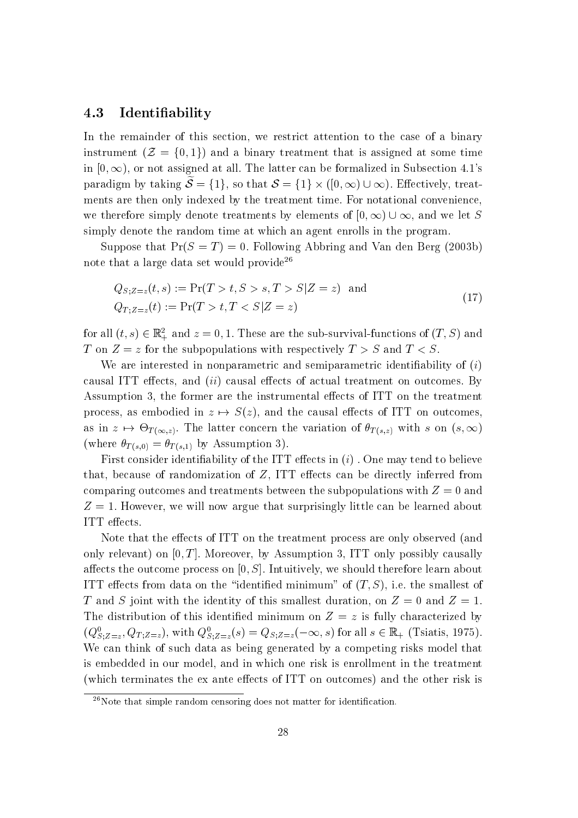#### 4.3 Identiability

In the remainder of this section, we restrict attention to the case of a binary instrument  $(\mathcal{Z} = \{0,1\})$  and a binary treatment that is assigned at some time in  $[0, \infty)$ , or not assigned at all. The latter can be formalized in Subsection 4.1's paradigm by taking  $S = \{1, 0, \ldots, S\}$  and  $S = \{1, 0, \ldots, S\}$   $\cup \infty$ ). Entertrively, treatments are then only indexed by the treatment time. For notational convenience, we therefore simply denote treatments by elements of  $[0, \infty) \cup \infty$ , and we let S simply denote the random time at which an agent enrolls in the program.

Suppose that  $Pr(S = T) = 0$ . Following Abbring and Van den Berg (2003b) note that a large data set would provide<sup>26</sup>

$$
Q_{S;Z=z}(t,s) := \Pr(T > t, S > s, T > S | Z = z) \text{ and}
$$
  
\n
$$
Q_{T;Z=z}(t) := \Pr(T > t, T < S | Z = z)
$$
\n(17)

for all  $(t, s) \in \mathbb{R}^2_+$  and  $z = 0, 1$ . These are the sub-survival-functions of  $(T, S)$  and T on  $Z = z$  for the subpopulations with respectively  $T > S$  and  $T < S$ .

We are interested in nonparametric and semiparametric identifiability of  $(i)$ causal ITT effects, and  $(ii)$  causal effects of actual treatment on outcomes. By Assumption 3, the former are the instrumental effects of ITT on the treatment process, as embodied in  $z \mapsto S(z)$ , and the causal effects of ITT on outcomes, as in a  $T$  (  $\alpha$   $\beta$  ) and the concern the variation of T (s;  $\beta$  ) with s one (s; 1) s  $\gamma$ (where  $\theta_{T(s,0)} = \theta_{T(s,1)}$  by Assumption 3).

First consider identifiability of the ITT effects in  $(i)$ . One may tend to believe that, because of randomization of  $Z$ , ITT effects can be directly inferred from comparing outcomes and treatments between the subpopulations with  $Z = 0$  and  $Z = 1$ . However, we will now argue that surprisingly little can be learned about ITT effects.

Note that the effects of ITT on the treatment process are only observed (and only relevant) on  $[0, T]$ . Moreover, by Assumption 3, ITT only possibly causally affects the outcome process on  $[0, S]$ . Intuitively, we should therefore learn about ITT effects from data on the "identified minimum" of  $(T, S)$ , i.e. the smallest of T and S joint with the identity of this smallest duration, on  $Z = 0$  and  $Z = 1$ . The distribution of this identified minimum on  $Z = z$  is fully characterized by  $(Q_{S,Z=z}^N, Q_{T,Z=z}^N)$ , with  $Q_{S,Z=z}^N(s) = Q_{S,Z=z}(-\infty, s)$  for all  $s \in \mathbb{R}_+$  (Tsiatis, 1975). S;Z=z We can think of such data as being generated by a competing risks model that is embedded in our model, and in which one risk is enrollment in the treatment (which terminates the ex ante effects of ITT on outcomes) and the other risk is

 $26$ Note that simple random censoring does not matter for identification.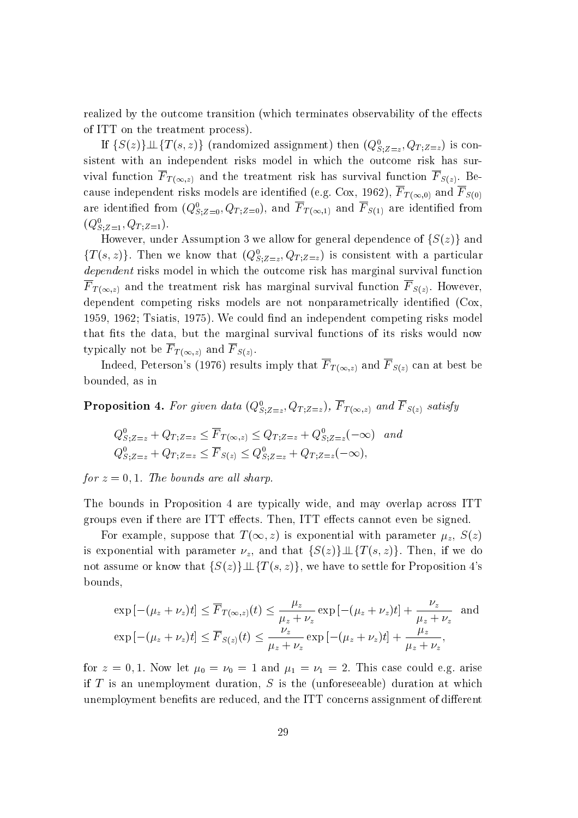realized by the outcome transition (which terminates observability of the effects of ITT on the treatment process).

If  $\{S(z)\}\perp\!\!\!\perp\{I(s,z)\}$  (randomized assignment) then  $(Q_{S,Z-z}^*,Q_{T;Z=z})$  is con-S;Z=z sistent with an independent risks model in which the outcome risk has survival function <sup>F</sup> <sup>T</sup> (1;z) and the treatment risk has survival function <sup>F</sup> S(z). Because independent risks models are identied (e.g. Cox, 1962), <sup>F</sup> <sup>T</sup> (1;0) and <sup>F</sup> S(0) are identified from  $(Q_{S,Z=0}^-, Q_{T;Z=0}^-,$  and  $\Gamma_{T(\infty,1)}$  and  $\Gamma_{S(1)}$  are identified from  $(Q_{S,Z=1}, Q_{T;Z=1}).$ 

However, under Assumption 3 we allow for general dependence of  $\{S(z)\}\$  and  $\{T\left(s,z\right)\}$ . Then we know that  $\left(Q_{S;Z=z},Q_{T;Z=z}\right)$  is consistent with a particular dependent risks model in which the outcome risk has marginal survival function  $F$  to the treatment risk has made the treatment  $O$  into the treatment function  $S$  (z). However,  $S$ dependent competing risks models are not nonparametrically identified (Cox, 1959, 1962; Tsiatis, 1975). We could find an independent competing risks model that fits the data, but the marginal survival functions of its risks would now typically not be <sup>F</sup> <sup>T</sup> (1;z) and <sup>F</sup> S(z).

Indeed, Peterson's (1976) results imply that  $F_{T(\infty,z)}$  and  $F_{S(z)}$  can at best be bounded, as in

**Proposition 4.** For given data  $(Q_{S,Z=z}, Q_{T;Z=z})$ , F $T(\infty,z)$  and F $S(z)$  satisfy

$$
Q_{S;Z=z}^{0} + Q_{T;Z=z} \leq \overline{F}_{T(\infty,z)} \leq Q_{T;Z=z} + Q_{S;Z=z}^{0}(-\infty) \quad and
$$
  

$$
Q_{S;Z=z}^{0} + Q_{T;Z=z} \leq \overline{F}_{S(z)} \leq Q_{S;Z=z}^{0} + Q_{T;Z=z}(-\infty),
$$

for  $z = 0, 1$ . The bounds are all sharp.

The bounds in Proposition 4 are typically wide, and may overlap across ITT groups even if there are ITT effects. Then, ITT effects cannot even be signed.

For example, suppose that  $T(\infty, z)$  is exponential with parameter  $\mu_z$ ,  $S(z)$ is exponential with parameter  $\nu_z$ , and that  $\{S(z)\}\perp \!\!\! \perp \{T(s, z)\}\.$  Then, if we do not assume or know that  $\{S(z)\}\perp \!\!\! \perp \{T(s,z)\}\,$ , we have to settle for Proposition 4's bounds,

$$
\exp\left[-(\mu_z + \nu_z)t\right] \le \overline{F}_{T(\infty, z)}(t) \le \frac{\mu_z}{\mu_z + \nu_z} \exp\left[-(\mu_z + \nu_z)t\right] + \frac{\nu_z}{\mu_z + \nu_z} \text{ and}
$$
  
\n
$$
\exp\left[-(\mu_z + \nu_z)t\right] \le \overline{F}_{S(z)}(t) \le \frac{\nu_z}{\mu_z + \nu_z} \exp\left[-(\mu_z + \nu_z)t\right] + \frac{\mu_z}{\mu_z + \nu_z},
$$

for  $z = 0, 1$ . Now let  $\mu_0 = \nu_0 = 1$  and  $\mu_1 = \nu_1 = 2$ . This case could e.g. arise if  $T$  is an unemployment duration,  $S$  is the (unforeseeable) duration at which unemployment benefits are reduced, and the ITT concerns assignment of different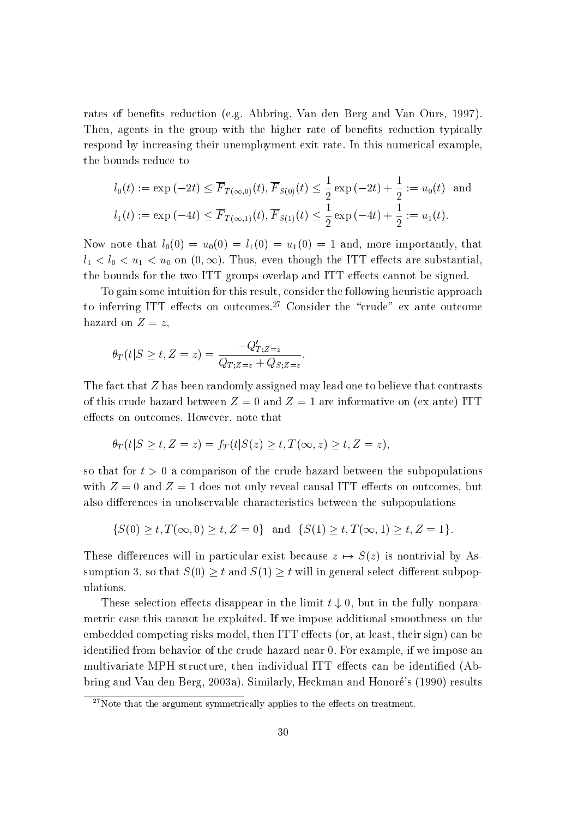rates of benefits reduction (e.g. Abbring, Van den Berg and Van Ours, 1997). Then, agents in the group with the higher rate of benefits reduction typically respond by increasing their unemployment exit rate. In this numerical example, the bounds reduce to

$$
l_0(t) := \exp(-2t) \le \overline{F}_{T(\infty,0)}(t), \overline{F}_{S(0)}(t) \le \frac{1}{2} \exp(-2t) + \frac{1}{2} := u_0(t) \text{ and}
$$
  

$$
l_1(t) := \exp(-4t) \le \overline{F}_{T(\infty,1)}(t), \overline{F}_{S(1)}(t) \le \frac{1}{2} \exp(-4t) + \frac{1}{2} := u_1(t).
$$

Now note that  $l_0(0) = u_0(0) = l_1(0) = u_1(0) = 1$  and, more importantly, that  $l_1 < l_0 < u_1 < u_0$  on  $(0, \infty)$ . Thus, even though the ITT effects are substantial, the bounds for the two ITT groups overlap and ITT effects cannot be signed.

To gain some intuition for this result, consider the following heuristic approach to inferring ITT effects on outcomes.<sup>27</sup> Consider the "crude" ex ante outcome hazard on  $Z = z$ ,

$$
\theta_T(t|S \ge t, Z = z) = \frac{-Q'_{T;Z=z}}{Q_{T;Z=z} + Q_{S;Z=z}}.
$$

The fact that <sup>Z</sup> has been randomly assigned may lead one to believe that contrasts of this crude hazard between  $Z = 0$  and  $Z = 1$  are informative on (ex ante) ITT effects on outcomes. However, note that

$$
\theta_T(t|S \ge t, Z=z) = f_T(t|S(z) \ge t, T(\infty, z) \ge t, Z=z),
$$

so that for  $t > 0$  a comparison of the crude hazard between the subpopulations with  $Z = 0$  and  $Z = 1$  does not only reveal causal ITT effects on outcomes, but also differences in unobservable characteristics between the subpopulations

$$
\{S(0) \ge t, T(\infty, 0) \ge t, Z = 0\} \text{ and } \{S(1) \ge t, T(\infty, 1) \ge t, Z = 1\}.
$$

These differences will in particular exist because  $z \mapsto S(z)$  is nontrivial by Assumption 3, so that  $S(0) \geq t$  and  $S(1) \geq t$  will in general select different subpopulations.

These selection effects disappear in the limit  $t \downarrow 0$ , but in the fully nonparametric case this cannot be exploited. If we impose additional smoothness on the embedded competing risks model, then ITT effects (or, at least, their sign) can be identied from behavior of the crude hazard near 0. For example, if we impose an multivariate MPH structure, then individual ITT effects can be identified (Abbring and Van den Berg, 2003a). Similarly, Heckman and Honore's (1990) results

 $27$ Note that the argument symmetrically applies to the effects on treatment.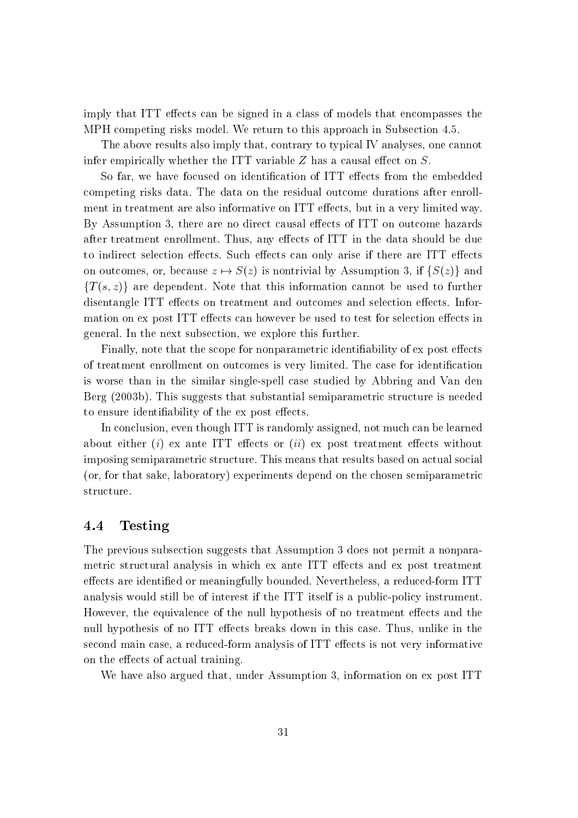imply that ITT effects can be signed in a class of models that encompasses the MPH competing risks model. We return to this approach in Subsection 4.5.

The above results also imply that, contrary to typical IV analyses, one cannot infer empirically whether the ITT variable  $Z$  has a causal effect on  $S$ .

So far, we have focused on identification of ITT effects from the embedded competing risks data. The data on the residual outcome durations after enrollment in treatment are also informative on ITT effects, but in a very limited way. By Assumption 3, there are no direct causal effects of ITT on outcome hazards after treatment enrollment. Thus, any effects of ITT in the data should be due to indirect selection effects. Such effects can only arise if there are ITT effects on outcomes, or, because  $z \mapsto S(z)$  is nontrivial by Assumption 3, if  $\{S(z)\}\$  and  ${T(s, z)}$  are dependent. Note that this information cannot be used to further disentangle ITT effects on treatment and outcomes and selection effects. Information on ex post ITT effects can however be used to test for selection effects in general. In the next subsection, we explore this further.

Finally, note that the scope for nonparametric identifiability of ex post effects of treatment enrollment on outcomes is very limited. The case for identification is worse than in the similar single-spell case studied by Abbring and Van den Berg (2003b). This suggests that substantial semiparametric structure is needed to ensure identifiability of the ex post effects.

In conclusion, even though ITT is randomly assigned, not much can be learned about either (i) ex ante ITT effects or  $(ii)$  ex post treatment effects without imposing semiparametric structure. This means that results based on actual social (or, for that sake, laboratory) experiments depend on the chosen semiparametric structure.

### 4.4 Testing

The previous subsection suggests that Assumption 3 does not permit a nonparametric structural analysis in which ex ante ITT effects and ex post treatment effects are identified or meaningfully bounded. Nevertheless, a reduced-form ITT analysis would still be of interest if the ITT itself is a public-policy instrument. However, the equivalence of the null hypothesis of no treatment effects and the null hypothesis of no ITT effects breaks down in this case. Thus, unlike in the second main case, a reduced-form analysis of ITT effects is not very informative on the effects of actual training.

We have also argued that, under Assumption 3, information on ex post ITT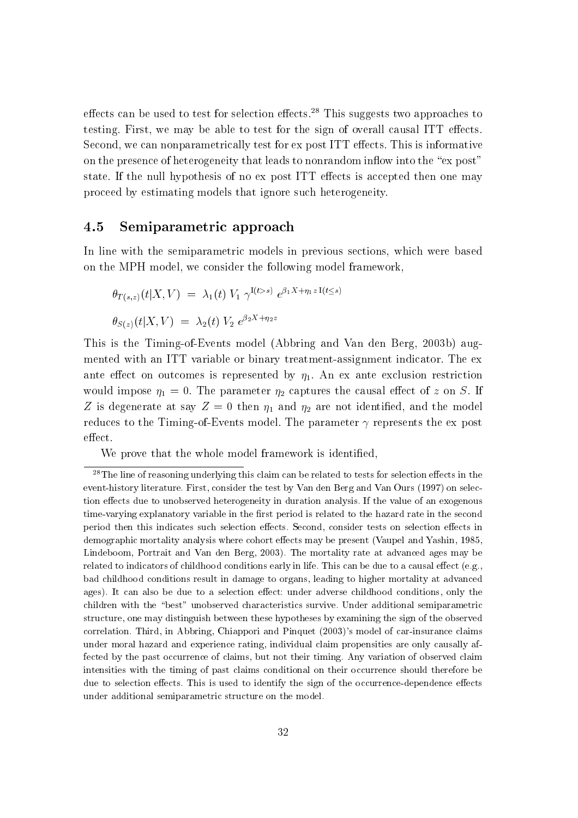effects can be used to test for selection effects.<sup>28</sup> This suggests two approaches to testing. First, we may be able to test for the sign of overall causal ITT effects. Second, we can nonparametrically test for ex post ITT effects. This is informative on the presence of heterogeneity that leads to nonrandom inflow into the "ex post" state. If the null hypothesis of no ex post ITT effects is accepted then one may proceed by estimating models that ignore such heterogeneity.

#### 4.5 Semiparametric approach

In line with the semiparametric models in previous sections, which were based on the MPH model, we consider the following model framework,

$$
\theta_{T(s,z)}(t|X,V) = \lambda_1(t) V_1 \gamma^{I(t>s)} e^{\beta_1 X + \eta_1 z I(t \le s)}
$$
  

$$
\theta_{S(z)}(t|X,V) = \lambda_2(t) V_2 e^{\beta_2 X + \eta_2 z}
$$

This is the Timing-of-Events model (Abbring and Van den Berg, 2003b) augmented with an ITT variable or binary treatment-assignment indicator. The ex ante effect on outcomes is represented by  $\eta_1$ . An ex ante exclusion restriction would impose  $\eta_1 = 0$ . The parameter  $\eta_2$  captures the causal effect of z on S. If Z is degenerate at say  $Z = 0$  then  $\eta_1$  and  $\eta_2$  are not identified, and the model reduces to the Timing-of-Events model. The parameter  $\gamma$  represents the ex post effect.

We prove that the whole model framework is identified,

 $^{28}$ The line of reasoning underlying this claim can be related to tests for selection effects in the event-history literature. First, consider the test by Van den Berg and Van Ours (1997) on selection effects due to unobserved heterogeneity in duration analysis. If the value of an exogenous time-varying explanatory variable in the first period is related to the hazard rate in the second period then this indicates such selection effects. Second, consider tests on selection effects in demographic mortality analysis where cohort effects may be present (Vaupel and Yashin, 1985, Lindeboom, Portrait and Van den Berg, 2003). The mortality rate at advanced ages may be related to indicators of childhood conditions early in life. This can be due to a causal effect (e.g., bad childhood conditions result in damage to organs, leading to higher mortality at advanced ages). It can also be due to a selection effect: under adverse childhood conditions, only the children with the \best" unobserved characteristics survive. Under additional semiparametric structure, one may distinguish between these hypotheses by examining the sign of the observed correlation. Third, in Abbring, Chiappori and Pinquet (2003)'s model of car-insurance claims under moral hazard and experience rating, individual claim propensities are only causally affected by the past occurrence of claims, but not their timing. Any variation of observed claim intensities with the timing of past claims conditional on their occurrence should therefore be due to selection effects. This is used to identify the sign of the occurrence-dependence effects under additional semiparametric structure on the model.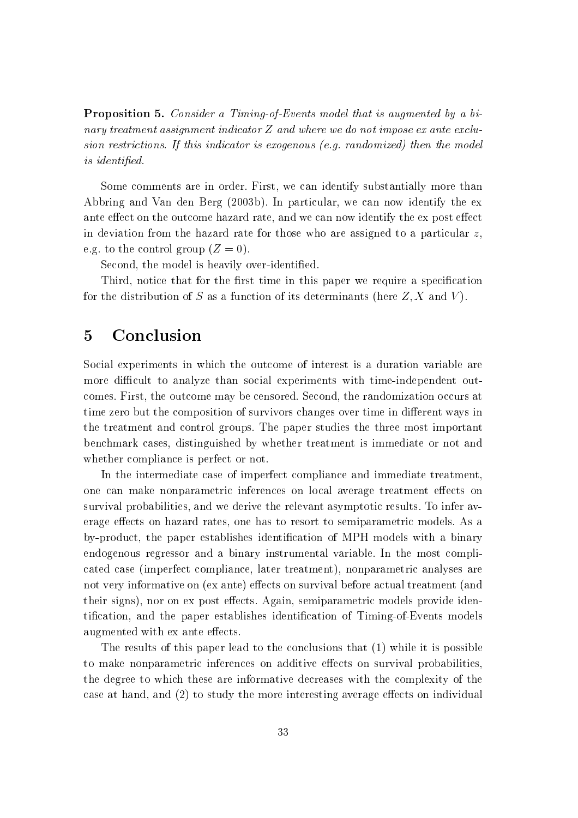Proposition 5. Consider a Timing-of-Events model that is augmented by a binary treatment assignment indicator <sup>Z</sup> and where we do not impose ex ante exclusion restrictions. If this indicator is exogenous (e.g. randomized) then the model is identified.

Some comments are in order. First, we can identify substantially more than Abbring and Van den Berg (2003b). In particular, we can now identify the ex ante effect on the outcome hazard rate, and we can now identify the ex post effect in deviation from the hazard rate for those who are assigned to a particular  $z$ , e.g. to the control group  $(Z = 0)$ .

Second, the model is heavily over-identified.

Third, notice that for the first time in this paper we require a specification for the distribution of S as a function of its determinants (here  $Z, X$  and V).

# 5 Conclusion

Social experiments in which the outcome of interest is a duration variable are more difficult to analyze than social experiments with time-independent outcomes. First, the outcome may be censored. Second, the randomization occurs at time zero but the composition of survivors changes over time in different ways in the treatment and control groups. The paper studies the three most important benchmark cases, distinguished by whether treatment is immediate or not and whether compliance is perfect or not.

In the intermediate case of imperfect compliance and immediate treatment, one can make nonparametric inferences on local average treatment effects on survival probabilities, and we derive the relevant asymptotic results. To infer average effects on hazard rates, one has to resort to semiparametric models. As a by-product, the paper establishes identication of MPH models with a binary endogenous regressor and a binary instrumental variable. In the most complicated case (imperfect compliance, later treatment), nonparametric analyses are not very informative on (ex ante) effects on survival before actual treatment (and their signs), nor on ex post effects. Again, semiparametric models provide identification, and the paper establishes identification of Timing-of-Events models augmented with ex ante effects.

The results of this paper lead to the conclusions that (1) while it is possible to make nonparametric inferences on additive effects on survival probabilities, the degree to which these are informative decreases with the complexity of the case at hand, and  $(2)$  to study the more interesting average effects on individual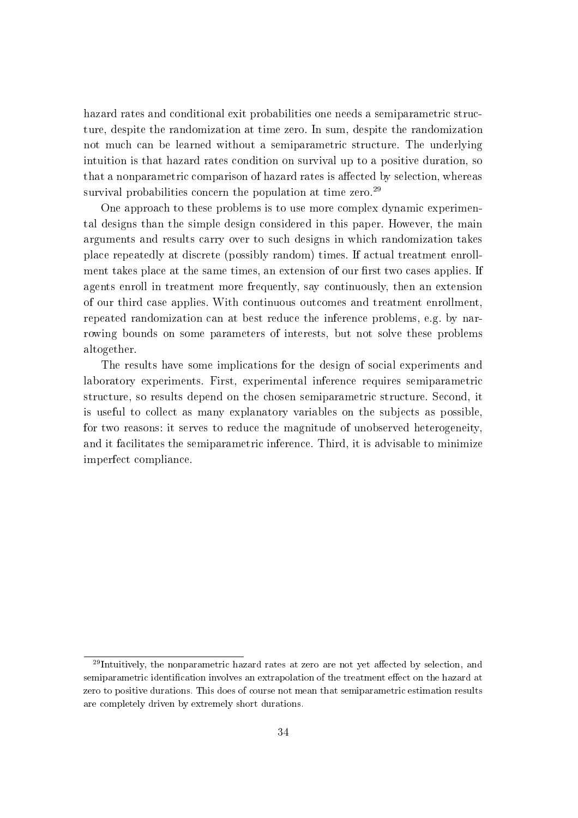hazard rates and conditional exit probabilities one needs a semiparametric structure, despite the randomization at time zero. In sum, despite the randomization not much can be learned without a semiparametric structure. The underlying intuition is that hazard rates condition on survival up to a positive duration, so that a nonparametric comparison of hazard rates is affected by selection, whereas survival probabilities concern the population at time zero.<sup>29</sup>

One approach to these problems is to use more complex dynamic experimental designs than the simple design considered in this paper. However, the main arguments and results carry over to such designs in which randomization takes place repeatedly at discrete (possibly random) times. If actual treatment enrollment takes place at the same times, an extension of our first two cases applies. If agents enroll in treatment more frequently, say continuously, then an extension of our third case applies. With continuous outcomes and treatment enrollment, repeated randomization can at best reduce the inference problems, e.g. by narrowing bounds on some parameters of interests, but not solve these problems altogether.

The results have some implications for the design of social experiments and laboratory experiments. First, experimental inference requires semiparametric structure, so results depend on the chosen semiparametric structure. Second, it is useful to collect as many explanatory variables on the subjects as possible, for two reasons: it serves to reduce the magnitude of unobserved heterogeneity, and it facilitates the semiparametric inference. Third, it is advisable to minimize imperfect compliance.

 $29$ Intuitively, the nonparametric hazard rates at zero are not yet affected by selection, and semiparametric identification involves an extrapolation of the treatment effect on the hazard at zero to positive durations. This does of course not mean that semiparametric estimation results are completely driven by extremely short durations.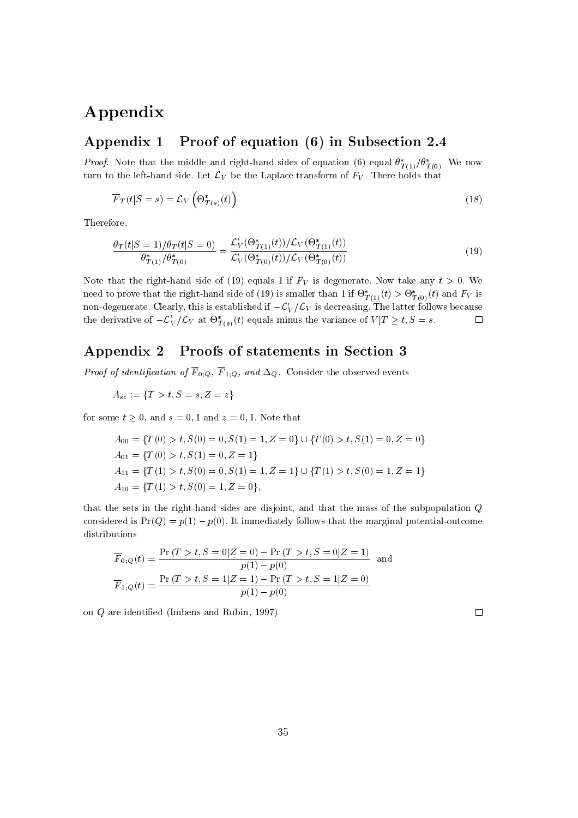# Appendix

## Appendix 1 Proof of equation (6) in Subsection 2.4

Proof. Note that the middle and right-hand sides of equation (6) equal  $\sigma_{T(1)}/\sigma_{T(0)}$ . We now turn to the left-hand side. Let  $\mathcal{L}_V$  be the Laplace transform of  $F_V$ . There holds that

$$
\overline{F}_T(t|S=s) = \mathcal{L}_V\left(\Theta^*_{T(s)}(t)\right) \tag{18}
$$

Therefore,

$$
\frac{\theta_T(t|S=1)/\theta_T(t|S=0)}{\theta_{T(1)}^*/\theta_{T(0)}^*} = \frac{\mathcal{L}'_V(\Theta_{T(1)}^*(t))/\mathcal{L}_V(\Theta_{T(1)}^*(t))}{\mathcal{L}'_V(\Theta_{T(0)}^*(t))/\mathcal{L}_V(\Theta_{T(0)}^*(t))}
$$
(19)

Note that the right-hand side of (19) equals 1 if  $F_V$  is degenerate. Now take any  $t > 0$ . We heed to prove that the right-hand side of (19) is smaller than 1 if  $\mathcal{O}_{T(1)}(t) > \mathcal{O}_{T(0)}(t)$  and FV is non-degenerate. Clearly, this is established if  $-\mathcal{L}_V/\mathcal{L}_V$  is decreasing. The latter follows because the derivative of  $-\mathcal{L}_V/\mathcal{L}_V$  at  $\sigma_{T(s)}(t)$  equals minus the variance of  $V/I \geq t, \beta = s.$ 

#### Appendix 2 Proofs of statements in Section 3

 $\mathcal{F}$  is a constructed of  $\mathcal{F} = \{ \mathcal{F} \vert \mathcal{G}, \mathcal{F} \}$  and  $\mathcal{F} = \{ \mathcal{F} \vert \mathcal{G}, \mathcal{F} \}$  . The observed extending events is a construction of  $\mathcal{F}$ 

$$
A_{sz} := \{ T > t, S = s, Z = z \}
$$

for some  $t \geq 0$ , and  $s = 0, 1$  and  $z = 0, 1$ . Note that

$$
A_{00} = \{T(0) > t, S(0) = 0, S(1) = 1, Z = 0\} \cup \{T(0) > t, S(1) = 0, Z = 0\}
$$
  
\n
$$
A_{01} = \{T(0) > t, S(1) = 0, Z = 1\}
$$
  
\n
$$
A_{11} = \{T(1) > t, S(0) = 0, S(1) = 1, Z = 1\} \cup \{T(1) > t, S(0) = 1, Z = 1\}
$$
  
\n
$$
A_{10} = \{T(1) > t, S(0) = 1, Z = 0\},
$$

that the sets in the right-hand sides are disjoint, and that the mass of the subpopulation <sup>Q</sup> considered is  $Pr(Q) = p(1) - p(0)$ . It immediately follows that the marginal potential-outcome distributions

$$
\overline{F}_{0,Q}(t) = \frac{\Pr(T > t, S = 0|Z = 0) - \Pr(T > t, S = 0|Z = 1)}{p(1) - p(0)} \text{ and}
$$
\n
$$
\overline{F}_{1,Q}(t) = \frac{\Pr(T > t, S = 1|Z = 1) - \Pr(T > t, S = 1|Z = 0)}{p(1) - p(0)}
$$

on <sup>Q</sup> are identied (Imbens and Rubin, 1997).

 $\Box$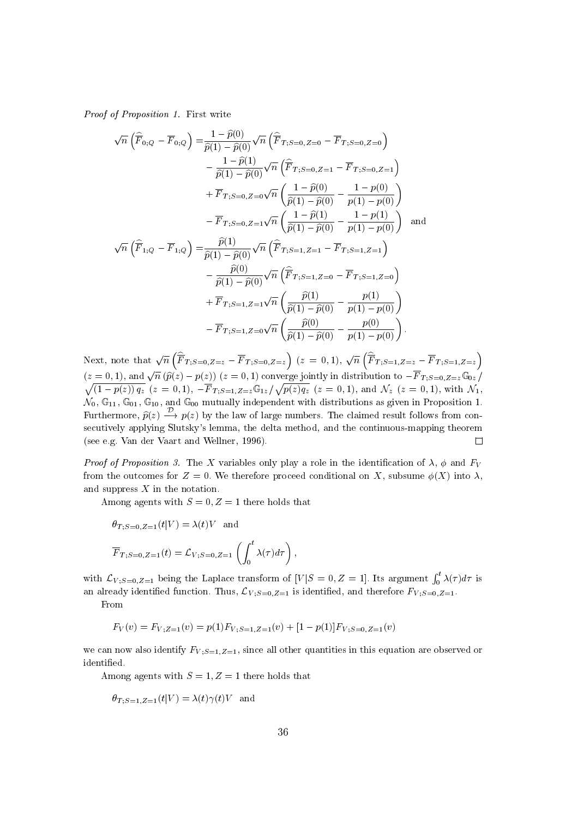Proof of Proposition 1. First write

$$
\sqrt{n}\left(\widehat{\overline{F}}_{0;Q} - \overline{F}_{0;Q}\right) = \frac{1 - \widehat{p}(0)}{\widehat{p}(1) - \widehat{p}(0)} \sqrt{n}\left(\widehat{\overline{F}}_{T;S=0,Z=0} - \overline{F}_{T;S=0,Z=0}\right) \n- \frac{1 - \widehat{p}(1)}{\widehat{p}(1) - \widehat{p}(0)} \sqrt{n}\left(\widehat{\overline{F}}_{T;S=0,Z=1} - \overline{F}_{T;S=0,Z=1}\right) \n+ \overline{F}_{T;S=0,Z=0} \sqrt{n}\left(\frac{1 - \widehat{p}(0)}{\widehat{p}(1) - \widehat{p}(0)} - \frac{1 - p(0)}{p(1) - p(0)}\right) \n- \overline{F}_{T;S=0,Z=1} \sqrt{n}\left(\frac{1 - \widehat{p}(1)}{\widehat{p}(1) - \widehat{p}(0)} - \frac{1 - p(1)}{p(1) - p(0)}\right) \text{ and}
$$
\n
$$
\sqrt{n}\left(\widehat{\overline{F}}_{1;Q} - \overline{F}_{1;Q}\right) = \frac{\widehat{p}(1)}{\widehat{p}(1) - \widehat{p}(0)} \sqrt{n}\left(\widehat{\overline{F}}_{T;S=1,Z=1} - \overline{F}_{T;S=1,Z=1}\right) \n- \frac{\widehat{p}(0)}{\widehat{p}(1) - \widehat{p}(0)} \sqrt{n}\left(\widehat{\overline{F}}_{T;S=1,Z=0} - \overline{F}_{T;S=1,Z=0}\right) \n+ \overline{F}_{T;S=1,Z=1} \sqrt{n}\left(\frac{\widehat{p}(1)}{\widehat{p}(1) - \widehat{p}(0)} - \frac{p(1)}{p(1) - p(0)}\right) \n- \overline{F}_{T;S=1,Z=0} \sqrt{n}\left(\frac{\widehat{p}(0)}{\widehat{p}(1) - \widehat{p}(0)} - \frac{p(0)}{p(1) - p(0)}\right).
$$

 $\left(\widehat{\overline{F}}_{T:S=0,Z=z}-\overline{F}_{T:S=0,Z=z}\right)(z=0,1),\sqrt{n}\left(\widehat{\overline{F}}_{T:S=1,Z=z}\right)$  $\left(\widehat{\overline{F}}_{T:S=1,Z=z}-\overline{F}_{T:S=1,Z=z}\right)$ Next, note that  $\sqrt{n}$  (F<sub>T·S=0</sub> z<sub>=1</sub>)  $(z = 0, 1)$ , and  $\sqrt{n} (\hat{p}(z) - p(z))$   $(z = 0, 1)$  converge jointly in distribution to  $-F_{T,S=0,Z=z}\mathbb{G}_{0z}$ <br>  $\sqrt{(1-p(z)) q_z}$   $(z = 0, 1)$ ,  $-\overline{F}_{T:S=1,Z=z}\mathbb{G}_{1z}/\sqrt{p(z) q_z}$   $(z = 0, 1)$ , and  $\mathcal{N}_z$   $(z = 0, 1)$ , with  $\mathcal{N}_1$ ,  $\mathcal{N}_0$ ,  $\mathbb{G}_{11}$ ,  $\mathbb{G}_{01}$ ,  $\mathbb{G}_{10}$ , and  $\mathbb{G}_{00}$  mutually independent with distributions as given in Proposition 1. Furthermore,  $p(z) \rightarrow p(z)$  by the law of large numbers. The claimed result follows from consecutively applying Slutsky's lemma, the delta method, and the continuous-mapping theorem (see e.g. Van der Vaart and Wellner, 1996).  $\Box$ 

*Proof of Proposition 3.* The X variables only play a role in the identification of  $\lambda$ ,  $\phi$  and  $F_V$ from the outcomes for  $Z = 0$ . We therefore proceed conditional on X, subsume  $\phi(X)$  into  $\lambda$ , and suppress  $X$  in the notation.

Among agents with  $S = 0, Z = 1$  there holds that

$$
\theta_{T,S=0,Z=1}(t|V) = \lambda(t)V \text{ and}
$$
  

$$
\overline{F}_{T,S=0,Z=1}(t) = \mathcal{L}_{V,S=0,Z=1}\left(\int_0^t \lambda(\tau)d\tau\right),
$$

with  $\mathcal{L}_{V;S=0,Z=1}$  being the Laplace transform of  $[V|S=0,Z=1]$ . Its argument  $\int_0^t \lambda(\tau)d\tau$  is an already identified function. Thus,  $\mathcal{L}_{V;S=0,Z=1}$  is identified, and therefore  $F_{V;S=0,Z=1}$ .

From

$$
F_V(v) = F_{V;Z=1}(v) = p(1)F_{V;S=1,Z=1}(v) + [1 - p(1)]F_{V;S=0,Z=1}(v)
$$

we can now also identify  $F_{V,S=1,Z=1}$ , since all other quantities in this equation are observed or identified.

Among agents with  $S = 1, Z = 1$  there holds that

$$
\theta_{T;S=1,Z=1}(t|V) = \lambda(t)\gamma(t)V \ \ \text{and}
$$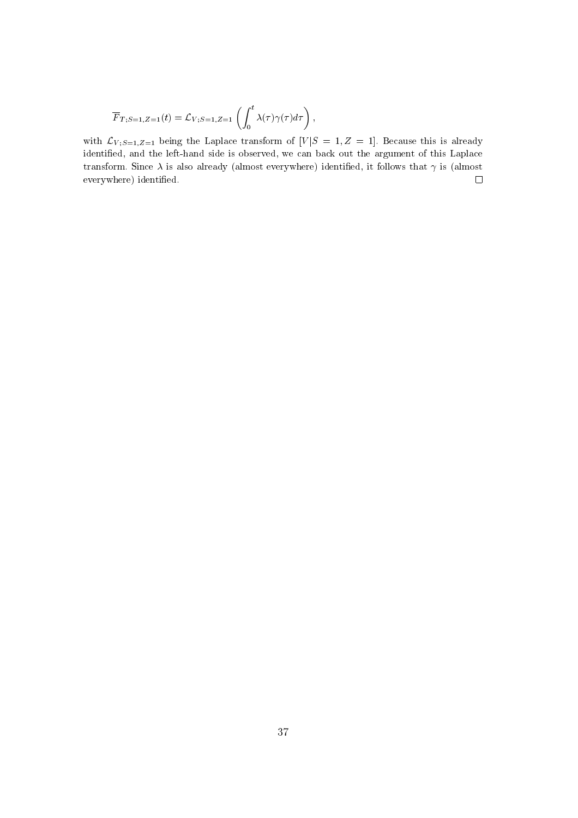$$
\overline{F}_{T; S=1, Z=1}(t) = \mathcal{L}_{V; S=1, Z=1}\left(\int_0^t \lambda(\tau)\gamma(\tau)d\tau\right),
$$

with  $\mathcal{L}_{V;S=1,Z=1}$  being the Laplace transform of  $[V|S=1,Z=1]$ . Because this is already identied, and the left-hand side is observed, we can back out the argument of this Laplace transform. Since  $\lambda$  is also already (almost everywhere) identified, it follows that  $\gamma$  is (almost everywhere) identified.  $\Box$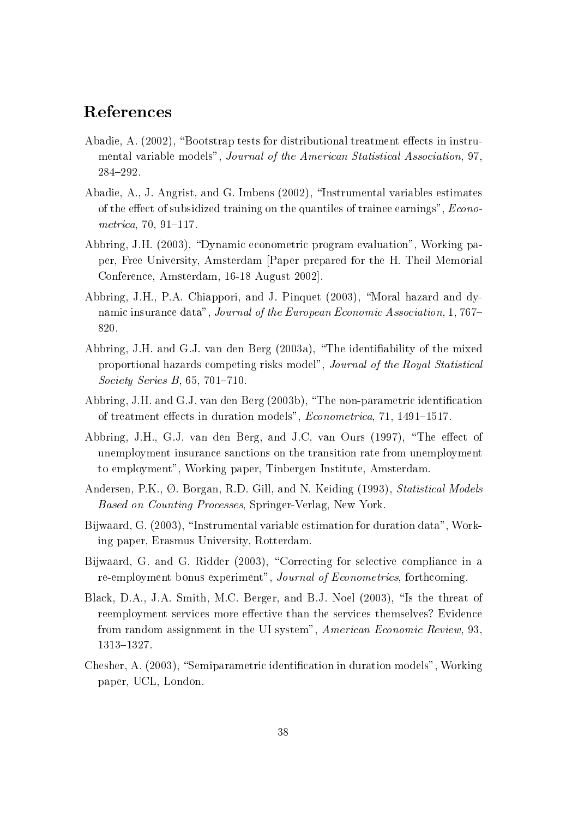# References

- Abadie, A.  $(2002)$ , "Bootstrap tests for distributional treatment effects in instrumental variable models", Journal of the American Statistical Association, 97, 284-292.
- Abadie, A., J. Angrist, and G. Imbens (2002), \Instrumental variables estimates of the effect of subsidized training on the quantiles of trainee earnings",  $Econo$  $metrica, 70, 91-117.$
- Abbring, J.H. (2003), "Dynamic econometric program evaluation", Working paper, Free University, Amsterdam [Paper prepared for the H. Theil Memorial Conference, Amsterdam, 16-18 August 2002].
- Abbring, J.H., P.A. Chiappori, and J. Pinquet (2003), "Moral hazard and dynamic insurance data", Journal of the European Economic Association, 1, 767-820.
- Abbring, J.H. and G.J. van den Berg (2003a), "The identifiability of the mixed proportional hazards competing risks model", Journal of the Royal Statistical Society Series B,  $65, 701-710$ .
- Abbring, J.H. and G.J. van den Berg  $(2003b)$ , "The non-parametric identification of treatment effects in duration models", *Econometrica*, 71, 1491-1517.
- Abbring, J.H., G.J. van den Berg, and J.C. van Ours (1997), "The effect of unemployment insurance sanctions on the transition rate from unemployment to employment", Working paper, Tinbergen Institute, Amsterdam.
- Andersen, P.K.,  $\emptyset$ . Borgan, R.D. Gill, and N. Keiding (1993), *Statistical Models* Based on Counting Processes, Springer-Verlag, New York.
- Bijwaard, G. (2003), "Instrumental variable estimation for duration data", Working paper, Erasmus University, Rotterdam.
- Bijwaard, G. and G. Ridder (2003), "Correcting for selective compliance in a re-employment bonus experiment", Journal of Econometrics, forthcoming.
- Black, D.A., J.A. Smith, M.C. Berger, and B.J. Noel (2003), "Is the threat of reemployment services more effective than the services themselves? Evidence from random assignment in the UI system", American Economic Review, 93, 1313{1327.
- Chesher, A. (2003), "Semiparametric identification in duration models", Working paper, UCL, London.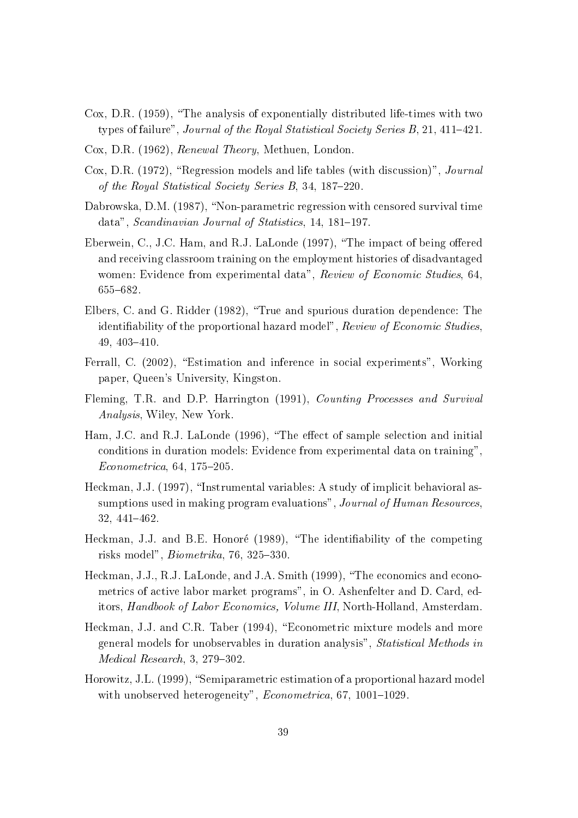- Cox, D.R.  $(1959)$ , "The analysis of exponentially distributed life-times with two types of failure", Journal of the Royal Statistical Society Series  $B$ , 21, 411-421.
- Cox, D.R. (1962), Renewal Theory, Methuen, London.
- Cox, D.R. (1972), "Regression models and life tables (with discussion)",  $Journal$ of the Royal Statistical Society Series  $B$ , 34, 187-220.
- Dabrowska, D.M. (1987), "Non-parametric regression with censored survival time data", Scandinavian Journal of Statistics, 14, 181-197.
- Eberwein, C., J.C. Ham, and R.J. LaLonde (1997), "The impact of being offered and receiving classroom training on the employment histories of disadvantaged women: Evidence from experimental data", Review of Economic Studies, 64. 655-682.
- Elbers, C. and G. Ridder (1982), \True and spurious duration dependence: The identifiability of the proportional hazard model", Review of Economic Studies.  $49, 403 - 410.$
- Ferrall, C. (2002), "Estimation and inference in social experiments", Working paper, Queen's University, Kingston.
- Fleming, T.R. and D.P. Harrington (1991), Counting Processes and Survival Analysis, Wiley, New York.
- Ham, J.C. and R.J. LaLonde (1996), "The effect of sample selection and initial conditions in duration models: Evidence from experimental data on training",  $Econometrica, 64, 175-205.$
- Heckman, J.J. (1997), "Instrumental variables: A study of implicit behavioral assumptions used in making program evaluations", Journal of Human Resources, 32, 441-462.
- Heckman, J.J. and B.E. Honoré (1989), "The identifiability of the competing risks model",  $Biometrika$ , 76, 325–330.
- Heckman, J.J., R.J. LaLonde, and J.A. Smith (1999), "The economics and econometrics of active labor market programs", in O. Ashenfelter and D. Card, editors, Handbook of Labor Economics, Volume III, North-Holland, Amsterdam.
- Heckman, J.J. and C.R. Taber (1994), "Econometric mixture models and more general models for unobservables in duration analysis", Statistical Methods in  $Median$  Research, 3, 279-302.
- Horowitz, J.L. (1999), "Semiparametric estimation of a proportional hazard model with unobserved heterogeneity",  $Econometrica$ , 67, 1001-1029.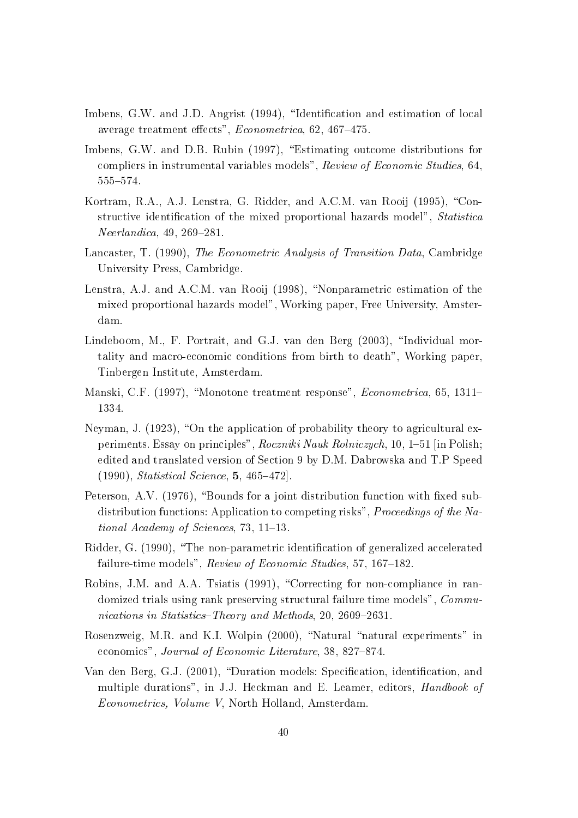- Imbens, G.W. and J.D. Angrist (1994), "Identification and estimation of local average treatment effects",  $Econometrica$ , 62, 467-475.
- Imbens, G.W. and D.B. Rubin (1997), "Estimating outcome distributions for compliers in instrumental variables models", Review of Economic Studies, 64, 555-574.
- Kortram, R.A., A.J. Lenstra, G. Ridder, and A.C.M. van Rooij (1995), "Constructive identification of the mixed proportional hazards model", Statistica  $Neerlandica$ , 49, 269-281.
- Lancaster, T. (1990), The Econometric Analysis of Transition Data, Cambridge University Press, Cambridge.
- Lenstra, A.J. and A.C.M. van Rooij (1998), "Nonparametric estimation of the mixed proportional hazards model", Working paper, Free University, Amsterdam.
- Lindeboom, M., F. Portrait, and G.J. van den Berg (2003), "Individual mortality and macro-economic conditions from birth to death", Working paper, Tinbergen Institute, Amsterdam.
- Manski, C.F. (1997), "Monotone treatment response", Econometrica, 65, 1311-1334.
- Neyman, J.  $(1923)$ , "On the application of probability theory to agricultural experiments. Essay on principles", Roczniki Nauk Rolniczych, 10, 1–51 [in Polish; edited and translated version of Section 9 by D.M. Dabrowska and T.P Speed  $(1990)$ , *Statistical Science*, **5**, 465-472].
- Peterson, A.V.  $(1976)$ , "Bounds for a joint distribution function with fixed subdistribution functions: Application to competing risks", *Proceedings of the Na*tional Academy of Sciences, 73, 11-13.
- Ridder, G. (1990), "The non-parametric identification of generalized accelerated failure-time models",  $Review\ of\ Economic\ Studies, 57, 167–182.$
- Robins, J.M. and A.A. Tsiatis (1991), "Correcting for non-compliance in randomized trials using rank preserving structural failure time models", Communications in Statistics-Theory and Methods, 20, 2609-2631.
- Rosenzweig, M.R. and K.I. Wolpin  $(2000)$ , "Natural "natural experiments" in economics", Journal of Economic Literature, 38, 827-874.
- Van den Berg, G.J. (2001), "Duration models: Specification, identification, and multiple durations", in J.J. Heckman and E. Leamer, editors, Handbook of Econometrics, Volume V, North Holland, Amsterdam.